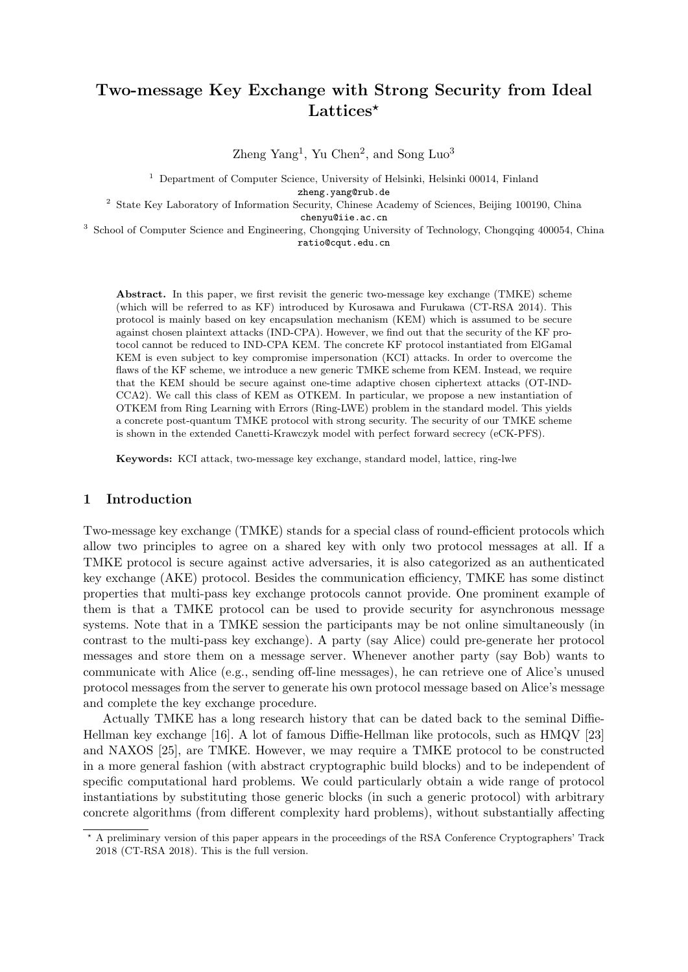# Two-message Key Exchange with Strong Security from Ideal Lattices<sup>\*</sup>

Zheng Yang<sup>1</sup>, Yu Chen<sup>2</sup>, and Song Luo<sup>3</sup>

<sup>1</sup> Department of Computer Science, University of Helsinki, Helsinki 00014, Finland

zheng.yang@rub.de

<sup>2</sup> State Key Laboratory of Information Security, Chinese Academy of Sciences, Beijing 100190, China chenyu@iie.ac.cn

<sup>3</sup> School of Computer Science and Engineering, Chongqing University of Technology, Chongqing 400054, China ratio@cqut.edu.cn

Abstract. In this paper, we first revisit the generic two-message key exchange (TMKE) scheme (which will be referred to as KF) introduced by Kurosawa and Furukawa (CT-RSA 2014). This protocol is mainly based on key encapsulation mechanism (KEM) which is assumed to be secure against chosen plaintext attacks (IND-CPA). However, we find out that the security of the KF protocol cannot be reduced to IND-CPA KEM. The concrete KF protocol instantiated from ElGamal KEM is even subject to key compromise impersonation (KCI) attacks. In order to overcome the flaws of the KF scheme, we introduce a new generic TMKE scheme from KEM. Instead, we require that the KEM should be secure against one-time adaptive chosen ciphertext attacks (OT-IND-CCA2). We call this class of KEM as OTKEM. In particular, we propose a new instantiation of OTKEM from Ring Learning with Errors (Ring-LWE) problem in the standard model. This yields a concrete post-quantum TMKE protocol with strong security. The security of our TMKE scheme is shown in the extended Canetti-Krawczyk model with perfect forward secrecy (eCK-PFS).

Keywords: KCI attack, two-message key exchange, standard model, lattice, ring-lwe

# 1 Introduction

Two-message key exchange (TMKE) stands for a special class of round-efficient protocols which allow two principles to agree on a shared key with only two protocol messages at all. If a TMKE protocol is secure against active adversaries, it is also categorized as an authenticated key exchange (AKE) protocol. Besides the communication efficiency, TMKE has some distinct properties that multi-pass key exchange protocols cannot provide. One prominent example of them is that a TMKE protocol can be used to provide security for asynchronous message systems. Note that in a TMKE session the participants may be not online simultaneously (in contrast to the multi-pass key exchange). A party (say Alice) could pre-generate her protocol messages and store them on a message server. Whenever another party (say Bob) wants to communicate with Alice (e.g., sending off-line messages), he can retrieve one of Alice's unused protocol messages from the server to generate his own protocol message based on Alice's message and complete the key exchange procedure.

Actually TMKE has a long research history that can be dated back to the seminal Diffie-Hellman key exchange [16]. A lot of famous Diffie-Hellman like protocols, such as HMQV [23] and NAXOS [25], are TMKE. However, we may require a TMKE protocol to be constructed in a more general fashion (with abstract cryptographic build blocks) and to be independent of specific computational hard problems. We could particularly obtain a wide range of protocol instantiations by substituting those generic blocks (in such a generic protocol) with arbitrary concrete algorithms (from different complexity hard problems), without substantially affecting

<sup>?</sup> A preliminary version of this paper appears in the proceedings of the RSA Conference Cryptographers' Track 2018 (CT-RSA 2018). This is the full version.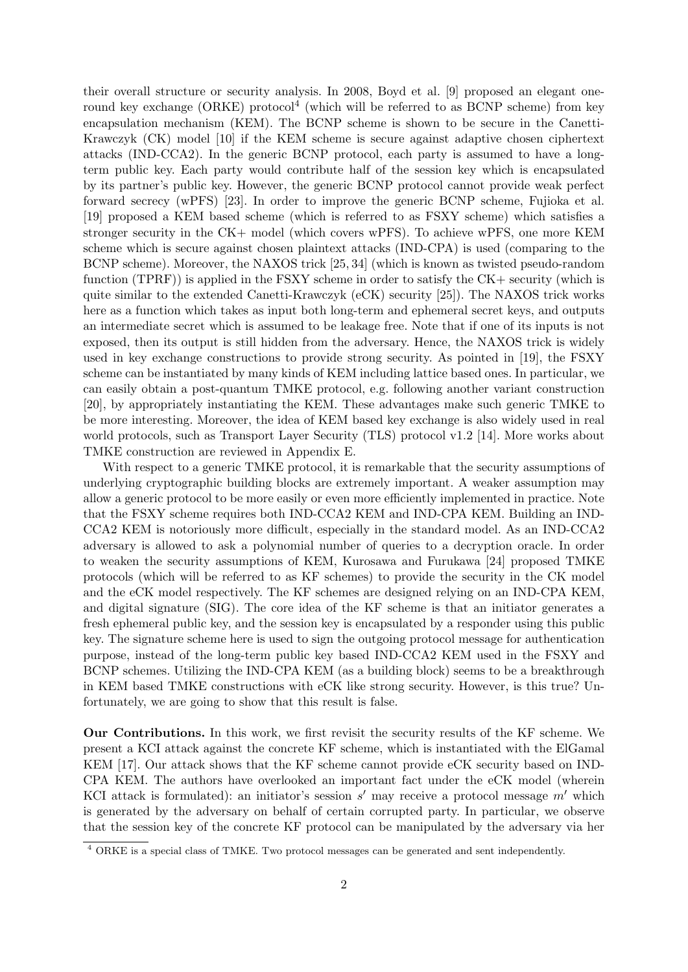their overall structure or security analysis. In 2008, Boyd et al. [9] proposed an elegant oneround key exchange (ORKE) protocol<sup>4</sup> (which will be referred to as BCNP scheme) from key encapsulation mechanism (KEM). The BCNP scheme is shown to be secure in the Canetti-Krawczyk (CK) model [10] if the KEM scheme is secure against adaptive chosen ciphertext attacks (IND-CCA2). In the generic BCNP protocol, each party is assumed to have a longterm public key. Each party would contribute half of the session key which is encapsulated by its partner's public key. However, the generic BCNP protocol cannot provide weak perfect forward secrecy (wPFS) [23]. In order to improve the generic BCNP scheme, Fujioka et al. [19] proposed a KEM based scheme (which is referred to as FSXY scheme) which satisfies a stronger security in the CK+ model (which covers wPFS). To achieve wPFS, one more KEM scheme which is secure against chosen plaintext attacks (IND-CPA) is used (comparing to the BCNP scheme). Moreover, the NAXOS trick [25, 34] (which is known as twisted pseudo-random function (TPRF)) is applied in the FSXY scheme in order to satisfy the CK+ security (which is quite similar to the extended Canetti-Krawczyk (eCK) security [25]). The NAXOS trick works here as a function which takes as input both long-term and ephemeral secret keys, and outputs an intermediate secret which is assumed to be leakage free. Note that if one of its inputs is not exposed, then its output is still hidden from the adversary. Hence, the NAXOS trick is widely used in key exchange constructions to provide strong security. As pointed in [19], the FSXY scheme can be instantiated by many kinds of KEM including lattice based ones. In particular, we can easily obtain a post-quantum TMKE protocol, e.g. following another variant construction [20], by appropriately instantiating the KEM. These advantages make such generic TMKE to be more interesting. Moreover, the idea of KEM based key exchange is also widely used in real world protocols, such as Transport Layer Security (TLS) protocol v1.2 [14]. More works about TMKE construction are reviewed in Appendix E.

With respect to a generic TMKE protocol, it is remarkable that the security assumptions of underlying cryptographic building blocks are extremely important. A weaker assumption may allow a generic protocol to be more easily or even more efficiently implemented in practice. Note that the FSXY scheme requires both IND-CCA2 KEM and IND-CPA KEM. Building an IND-CCA2 KEM is notoriously more difficult, especially in the standard model. As an IND-CCA2 adversary is allowed to ask a polynomial number of queries to a decryption oracle. In order to weaken the security assumptions of KEM, Kurosawa and Furukawa [24] proposed TMKE protocols (which will be referred to as KF schemes) to provide the security in the CK model and the eCK model respectively. The KF schemes are designed relying on an IND-CPA KEM, and digital signature (SIG). The core idea of the KF scheme is that an initiator generates a fresh ephemeral public key, and the session key is encapsulated by a responder using this public key. The signature scheme here is used to sign the outgoing protocol message for authentication purpose, instead of the long-term public key based IND-CCA2 KEM used in the FSXY and BCNP schemes. Utilizing the IND-CPA KEM (as a building block) seems to be a breakthrough in KEM based TMKE constructions with eCK like strong security. However, is this true? Unfortunately, we are going to show that this result is false.

Our Contributions. In this work, we first revisit the security results of the KF scheme. We present a KCI attack against the concrete KF scheme, which is instantiated with the ElGamal KEM [17]. Our attack shows that the KF scheme cannot provide eCK security based on IND-CPA KEM. The authors have overlooked an important fact under the eCK model (wherein KCI attack is formulated): an initiator's session  $s'$  may receive a protocol message  $m'$  which is generated by the adversary on behalf of certain corrupted party. In particular, we observe that the session key of the concrete KF protocol can be manipulated by the adversary via her

<sup>4</sup> ORKE is a special class of TMKE. Two protocol messages can be generated and sent independently.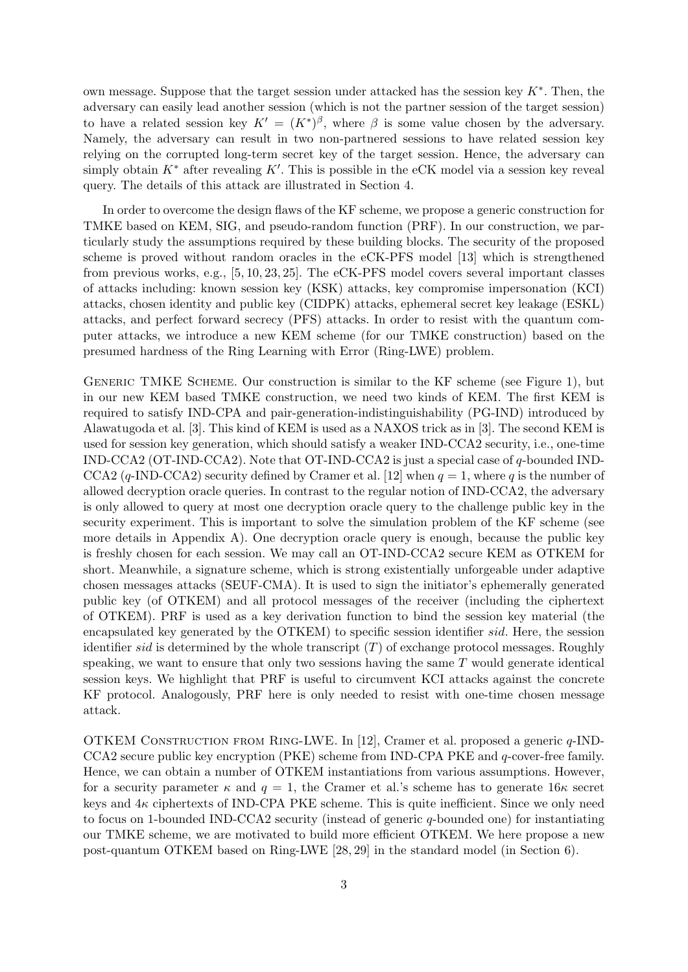own message. Suppose that the target session under attacked has the session key  $K^*$ . Then, the adversary can easily lead another session (which is not the partner session of the target session) to have a related session key  $K' = (K^*)^{\beta}$ , where  $\beta$  is some value chosen by the adversary. Namely, the adversary can result in two non-partnered sessions to have related session key relying on the corrupted long-term secret key of the target session. Hence, the adversary can simply obtain  $K^*$  after revealing  $K'$ . This is possible in the eCK model via a session key reveal query. The details of this attack are illustrated in Section 4.

In order to overcome the design flaws of the KF scheme, we propose a generic construction for TMKE based on KEM, SIG, and pseudo-random function (PRF). In our construction, we particularly study the assumptions required by these building blocks. The security of the proposed scheme is proved without random oracles in the eCK-PFS model [13] which is strengthened from previous works, e.g., [5, 10, 23, 25]. The eCK-PFS model covers several important classes of attacks including: known session key (KSK) attacks, key compromise impersonation (KCI) attacks, chosen identity and public key (CIDPK) attacks, ephemeral secret key leakage (ESKL) attacks, and perfect forward secrecy (PFS) attacks. In order to resist with the quantum computer attacks, we introduce a new KEM scheme (for our TMKE construction) based on the presumed hardness of the Ring Learning with Error (Ring-LWE) problem.

GENERIC TMKE SCHEME. Our construction is similar to the KF scheme (see Figure 1), but in our new KEM based TMKE construction, we need two kinds of KEM. The first KEM is required to satisfy IND-CPA and pair-generation-indistinguishability (PG-IND) introduced by Alawatugoda et al. [3]. This kind of KEM is used as a NAXOS trick as in [3]. The second KEM is used for session key generation, which should satisfy a weaker IND-CCA2 security, i.e., one-time IND-CCA2 (OT-IND-CCA2). Note that OT-IND-CCA2 is just a special case of q-bounded IND-CCA2 (q-IND-CCA2) security defined by Cramer et al. [12] when  $q = 1$ , where q is the number of allowed decryption oracle queries. In contrast to the regular notion of IND-CCA2, the adversary is only allowed to query at most one decryption oracle query to the challenge public key in the security experiment. This is important to solve the simulation problem of the KF scheme (see more details in Appendix A). One decryption oracle query is enough, because the public key is freshly chosen for each session. We may call an OT-IND-CCA2 secure KEM as OTKEM for short. Meanwhile, a signature scheme, which is strong existentially unforgeable under adaptive chosen messages attacks (SEUF-CMA). It is used to sign the initiator's ephemerally generated public key (of OTKEM) and all protocol messages of the receiver (including the ciphertext of OTKEM). PRF is used as a key derivation function to bind the session key material (the encapsulated key generated by the OTKEM) to specific session identifier sid. Here, the session identifier sid is determined by the whole transcript  $(T)$  of exchange protocol messages. Roughly speaking, we want to ensure that only two sessions having the same  $T$  would generate identical session keys. We highlight that PRF is useful to circumvent KCI attacks against the concrete KF protocol. Analogously, PRF here is only needed to resist with one-time chosen message attack.

OTKEM Construction from Ring-LWE. In [12], Cramer et al. proposed a generic q-IND-CCA2 secure public key encryption (PKE) scheme from IND-CPA PKE and q-cover-free family. Hence, we can obtain a number of OTKEM instantiations from various assumptions. However, for a security parameter  $\kappa$  and  $q = 1$ , the Cramer et al.'s scheme has to generate  $16\kappa$  secret keys and  $4\kappa$  ciphertexts of IND-CPA PKE scheme. This is quite inefficient. Since we only need to focus on 1-bounded IND-CCA2 security (instead of generic q-bounded one) for instantiating our TMKE scheme, we are motivated to build more efficient OTKEM. We here propose a new post-quantum OTKEM based on Ring-LWE [28, 29] in the standard model (in Section 6).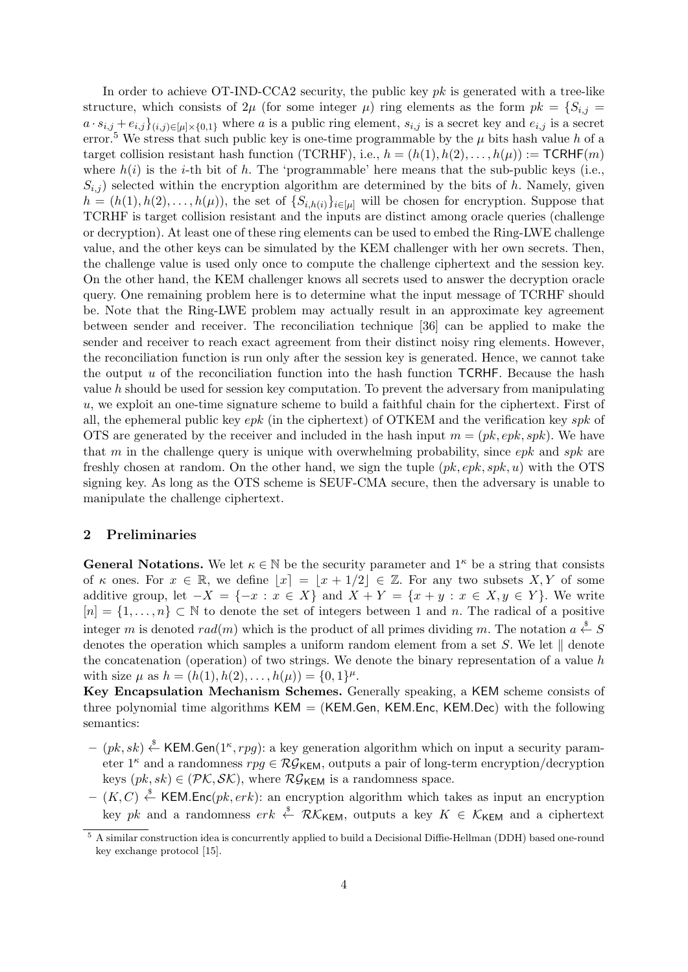In order to achieve OT-IND-CCA2 security, the public key  $pk$  is generated with a tree-like structure, which consists of  $2\mu$  (for some integer  $\mu$ ) ring elements as the form  $pk = \{S_{i,j} =$  $a \cdot s_{i,j} + e_{i,j}$ <sub> $(i,j) \in [u] \times \{0,1\}$ </sub> where a is a public ring element,  $s_{i,j}$  is a secret key and  $e_{i,j}$  is a secret error.<sup>5</sup> We stress that such public key is one-time programmable by the  $\mu$  bits hash value h of a target collision resistant hash function (TCRHF), i.e.,  $h = (h(1), h(2), \ldots, h(\mu)) := \textsf{TCRHF}(m)$ where  $h(i)$  is the *i*-th bit of h. The 'programmable' here means that the sub-public keys (i.e.,  $S_{i,j}$ ) selected within the encryption algorithm are determined by the bits of h. Namely, given  $h = (h(1), h(2), \ldots, h(\mu))$ , the set of  $\{S_{i,h(i)}\}_{i \in [\mu]}$  will be chosen for encryption. Suppose that TCRHF is target collision resistant and the inputs are distinct among oracle queries (challenge or decryption). At least one of these ring elements can be used to embed the Ring-LWE challenge value, and the other keys can be simulated by the KEM challenger with her own secrets. Then, the challenge value is used only once to compute the challenge ciphertext and the session key. On the other hand, the KEM challenger knows all secrets used to answer the decryption oracle query. One remaining problem here is to determine what the input message of TCRHF should be. Note that the Ring-LWE problem may actually result in an approximate key agreement between sender and receiver. The reconciliation technique [36] can be applied to make the sender and receiver to reach exact agreement from their distinct noisy ring elements. However, the reconciliation function is run only after the session key is generated. Hence, we cannot take the output  $u$  of the reconciliation function into the hash function TCRHF. Because the hash value  $h$  should be used for session key computation. To prevent the adversary from manipulating u, we exploit an one-time signature scheme to build a faithful chain for the ciphertext. First of all, the ephemeral public key  $epk$  (in the ciphertext) of OTKEM and the verification key  $spk$  of OTS are generated by the receiver and included in the hash input  $m = (pk, epk, spk)$ . We have that m in the challenge query is unique with overwhelming probability, since  $epk$  and  $spk$  are freshly chosen at random. On the other hand, we sign the tuple  $(pk, epk, spk, u)$  with the OTS signing key. As long as the OTS scheme is SEUF-CMA secure, then the adversary is unable to manipulate the challenge ciphertext.

## 2 Preliminaries

**General Notations.** We let  $\kappa \in \mathbb{N}$  be the security parameter and 1<sup> $\kappa$ </sup> be a string that consists of  $\kappa$  ones. For  $x \in \mathbb{R}$ , we define  $|x| = |x + 1/2| \in \mathbb{Z}$ . For any two subsets X, Y of some additive group, let  $-X = \{-x : x \in X\}$  and  $X + Y = \{x + y : x \in X, y \in Y\}$ . We write  $[n] = \{1, \ldots, n\} \subset \mathbb{N}$  to denote the set of integers between 1 and n. The radical of a positive integer m is denoted  $rad(m)$  which is the product of all primes dividing m. The notation  $a \stackrel{\$}{\leftarrow} S$ denotes the operation which samples a uniform random element from a set S. We let  $\parallel$  denote the concatenation (operation) of two strings. We denote the binary representation of a value  $h$ with size  $\mu$  as  $h = (h(1), h(2), \ldots, h(\mu)) = \{0, 1\}^{\mu}$ .

Key Encapsulation Mechanism Schemes. Generally speaking, a KEM scheme consists of three polynomial time algorithms  $KEM = (KEM.Gen, KEM.Enc, KEM Dec)$  with the following semantics:

- $-(pk, sk) \stackrel{\$}{\leftarrow}$  KEM.Gen(1<sup>k</sup>, rpg): a key generation algorithm which on input a security parameter  $1^{\kappa}$  and a randomness  $rpq \in \mathcal{RG}_{\mathsf{KEM}}$ , outputs a pair of long-term encryption/decryption keys  $(pk, sk) \in (PK, \mathcal{SK})$ , where  $\mathcal{RG}_{\mathsf{KEM}}$  is a randomness space.
- $(K, C) \stackrel{\hspace{0.1em}\mathsf{\scriptscriptstyle\$}}{\leftarrow}$  KEM. Enc $(pk, erk)$ : an encryption algorithm which takes as input an encryption key pk and a randomness  $erk \overset{\$}{\leftarrow} \mathcal{RK}_{\mathsf{KFM}}$ , outputs a key  $K \in \mathcal{K}_{\mathsf{KFM}}$  and a ciphertext

<sup>5</sup> A similar construction idea is concurrently applied to build a Decisional Diffie-Hellman (DDH) based one-round key exchange protocol [15].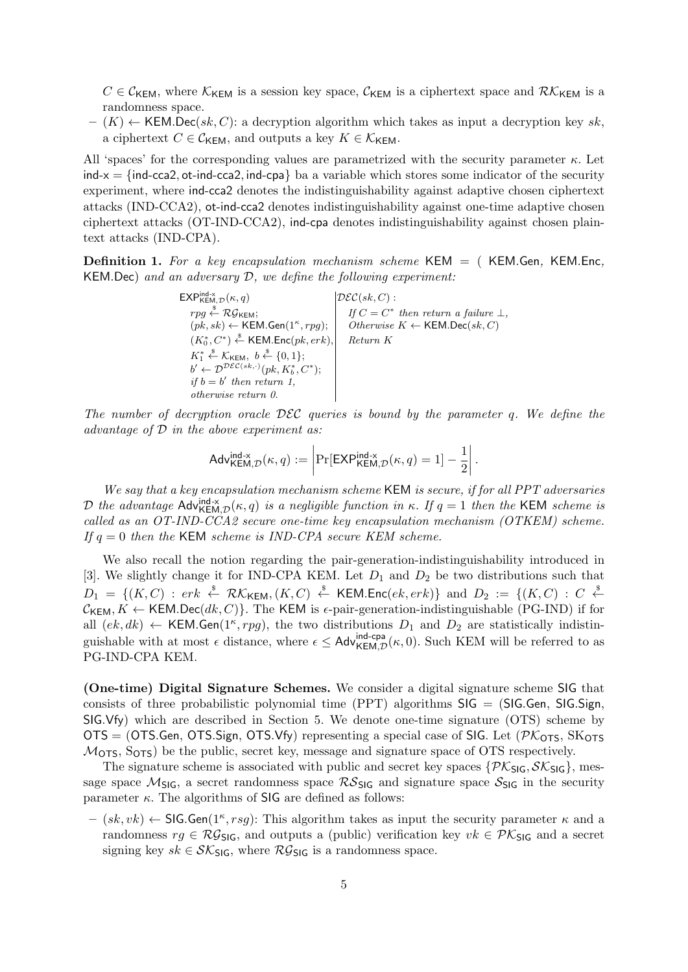$C \in \mathcal{C}_{\mathsf{KEM}}$ , where  $\mathcal{K}_{\mathsf{KEM}}$  is a session key space,  $\mathcal{C}_{\mathsf{KEM}}$  is a ciphertext space and  $\mathcal{RK}_{\mathsf{KEM}}$  is a randomness space.

 $-(K) \leftarrow$  KEM.Dec(sk, C): a decryption algorithm which takes as input a decryption key sk, a ciphertext  $C \in \mathcal{C}_{\mathsf{KFM}}$ , and outputs a key  $K \in \mathcal{K}_{\mathsf{KFM}}$ .

All 'spaces' for the corresponding values are parametrized with the security parameter  $\kappa$ . Let  $ind-x = \{ind-cca2, ot-ind-cca2, ind-cpa\}$  ba a variable which stores some indicator of the security experiment, where ind-cca2 denotes the indistinguishability against adaptive chosen ciphertext attacks (IND-CCA2), ot-ind-cca2 denotes indistinguishability against one-time adaptive chosen ciphertext attacks (OT-IND-CCA2), ind-cpa denotes indistinguishability against chosen plaintext attacks (IND-CPA).

**Definition 1.** For a key encapsulation mechanism scheme KEM  $=$  (KEM.Gen, KEM.Enc, KEM.Dec) and an adversary D, we define the following experiment:

> EXP $\text{H}\text{H}\text{H}\text{H}\text{H}\text{H}(\kappa,q)$  $|\mathcal{DEC}(sk, C)|$ :  $rpg \overset{\$}{\leftarrow} \mathcal{RG}_{\mathsf{KEM}};$   $\qquad \qquad \begin{array}{c|c} & \text{if } C = C \end{array}$ \* then return a failure  $\perp$ ,  $(\overrightarrow{pk}, sk) \leftarrow \mathsf{KEM}.\mathsf{Gen}(1^\kappa, rpg);$  $Otherwise K \leftarrow \mathsf{KEM.Dec}(sk, C)$  $(K_0^*, C^*) \overset{\$}{\leftarrow}$  KEM.Enc $(pk, erk),$  Return K  $K_1^* \overset{\$}{\leftarrow} \mathcal{K}_{\mathsf{KEM}}, \ b \overset{\$}{\leftarrow} \{0,1\};$  $b' \leftarrow \mathcal{D}^{\mathcal{DEC}(sk,\cdot)}(pk, K_b^*, C^*)$ ; if  $b = b'$  then return 1, otherwise return 0.

The number of decryption oracle  $\mathcal{DEC}$  queries is bound by the parameter q. We define the advantage of  $D$  in the above experiment as:

$$
\mathsf{Adv}_{\mathsf{KEM},\mathcal{D}}^{\mathsf{ind} \cdot \mathsf{x}}(\kappa,q) := \left| \Pr[\mathsf{EXP}_{\mathsf{KEM},\mathcal{D}}^{\mathsf{ind} \cdot \mathsf{x}}(\kappa,q) = 1] - \frac{1}{2} \right|.
$$

We say that a key encapsulation mechanism scheme KEM is secure, if for all PPT adversaries D the advantage  $\text{Adv}_{\mathsf{KEM,D}}^{\text{ind-x}}(\kappa, q)$  is a negligible function in  $\kappa$ . If  $q = 1$  then the KEM scheme is called as an OT-IND-CCA2 secure one-time key encapsulation mechanism (OTKEM) scheme. If  $q = 0$  then the KEM scheme is IND-CPA secure KEM scheme.

We also recall the notion regarding the pair-generation-indistinguishability introduced in [3]. We slightly change it for IND-CPA KEM. Let  $D_1$  and  $D_2$  be two distributions such that  $D_1 = \{(K, C) : \text{er}k \stackrel{\$}{\leftarrow} \mathcal{RK}_{\mathsf{KEM}}, (K, C) \stackrel{\$}{\leftarrow} \mathsf{KEM}.\mathsf{Enc}(ek, erk)\}$  and  $D_2 := \{(K, C) : C \stackrel{\$}{\leftarrow}$  $C_{\mathsf{KEM}}, K \leftarrow \mathsf{KEM}.\mathsf{Dec}(dk, C)$ . The KEM is  $\epsilon$ -pair-generation-indistinguishable (PG-IND) if for all  $(ek, dk) \leftarrow$  KEM.Gen(1<sup> $\kappa$ </sup>, rpg), the two distributions  $D_1$  and  $D_2$  are statistically indistinguishable with at most  $\epsilon$  distance, where  $\epsilon \leq$  Adv $\frac{\text{ind-cpa}}{\text{KEM},\mathcal{D}}(\kappa,0)$ . Such KEM will be referred to as PG-IND-CPA KEM.

(One-time) Digital Signature Schemes. We consider a digital signature scheme SIG that consists of three probabilistic polynomial time  $(PT)$  algorithms  $SIG = (SIG.Gen, SIG.Sign,$ SIG.Vfy) which are described in Section 5. We denote one-time signature (OTS) scheme by  $OTS = (OTS.Gen, OTS.Sign, OTS.Vfy)$  representing a special case of SIG. Let  $(\mathcal{PK}_{OTS}, SK_{OTS})$  $M<sub>OTS</sub>$ ,  $S<sub>OTS</sub>$ ) be the public, secret key, message and signature space of OTS respectively.

The signature scheme is associated with public and secret key spaces  $\{P\mathcal{K}_{\text{SIG}}, \mathcal{SK}_{\text{SIG}}\}$ , message space  $\mathcal{M}_{\text{SIG}}$ , a secret randomness space  $\mathcal{RS}_{\text{SIG}}$  and signature space  $\mathcal{S}_{\text{SIG}}$  in the security parameter  $\kappa$ . The algorithms of SIG are defined as follows:

 $-(sk, vk) \leftarrow$  SIG.Gen(1<sup>k</sup>, rsg): This algorithm takes as input the security parameter  $\kappa$  and a randomness  $rg \in \mathcal{RG}_{\mathsf{SIG}}$ , and outputs a (public) verification key  $vk \in \mathcal{PK}_{\mathsf{SIG}}$  and a secret signing key  $sk \in \mathcal{SK}_{\mathsf{SIG}}$ , where  $\mathcal{RG}_{\mathsf{SIG}}$  is a randomness space.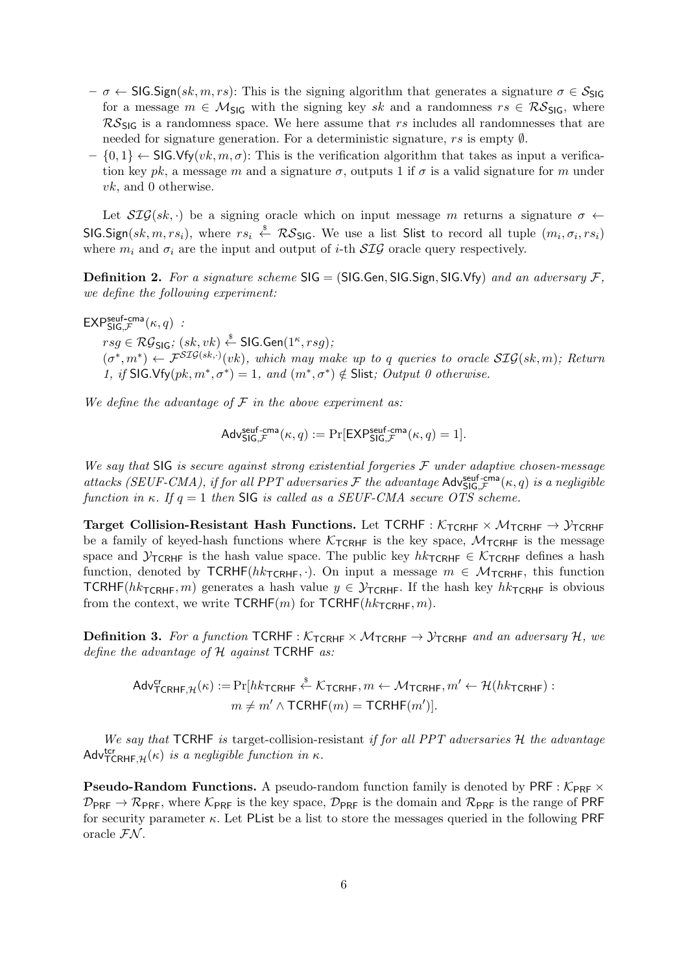- $-\sigma \leftarrow \textsf{SIG}.Sign(sk, m, rs)$ : This is the signing algorithm that generates a signature  $\sigma \in \mathcal{S}_{\textsf{SIG}}$ for a message  $m \in \mathcal{M}_{\text{SIG}}$  with the signing key sk and a randomness  $rs \in \mathcal{RS}_{\text{SIG}}$ , where  $\mathcal{RS}_{\text{SIG}}$  is a randomness space. We here assume that rs includes all randomnesses that are needed for signature generation. For a deterministic signature, rs is empty ∅.
- $\{0,1\} \leftarrow \mathsf{SIG.Vfv}(vk,m,\sigma)$ : This is the verification algorithm that takes as input a verification key pk, a message m and a signature  $\sigma$ , outputs 1 if  $\sigma$  is a valid signature for m under vk, and 0 otherwise.

Let  $\mathcal{SIG}(sk, \cdot)$  be a signing oracle which on input message m returns a signature  $\sigma \leftarrow$ SIG.Sign(sk, m, rs<sub>i</sub>), where  $rs_i \stackrel{s}{\leftarrow} \mathcal{RS}_{\mathsf{SIG}}$ . We use a list Slist to record all tuple  $(m_i, \sigma_i, rs_i)$ where  $m_i$  and  $\sigma_i$  are the input and output of *i*-th  $\mathcal{SIG}$  oracle query respectively.

**Definition 2.** For a signature scheme  $SIG = (SIG, Gen, SIG, Sign, SIG, Vfy)$  and an adversary  $F$ , we define the following experiment:

 $\mathsf{EXP}^{\mathsf{seuf-cma}}_{\mathsf{SIG},\mathcal{F}}(\kappa,q)$ :

 $rsg \in \mathcal{RG}_{\mathsf{SIG}}; \, (sk, vk) \overset{\hspace{0.1em}\mathsf{\scriptscriptstyle\$}}{\leftarrow} \mathsf{SIG}.\mathsf{Gen}(1^\kappa, rsg);$  $(\sigma^*, m^*) \leftarrow \mathcal{F}^{\mathcal{SIG}(sk,\cdot)}(vk),$  which may make up to q queries to oracle  $\mathcal{SIG}(sk,m)$ ; Return 1, if SIG.Vfy $(pk, m^*, \sigma^*) = 1$ , and  $(m^*, \sigma^*) \notin$  Slist; Output 0 otherwise.

We define the advantage of  $\mathcal F$  in the above experiment as:

$$
\mathsf{Adv}^{\mathsf{seuf-cma}}_{\mathsf{SIG},\mathcal{F}}(\kappa,q) := \Pr[\mathsf{EXP}^{\mathsf{seuf-cma}}_{\mathsf{SIG},\mathcal{F}}(\kappa,q) = 1].
$$

We say that SIG is secure against strong existential forgeries  $\mathcal F$  under adaptive chosen-message attacks (SEUF-CMA), if for all PPT adversaries  $\mathcal F$  the advantage  $\mathsf{Adv}^{\textsf{self-cma}}_{\mathsf{SIG},\mathcal F}(\kappa,q)$  is a negligible function in κ. If  $q = 1$  then SIG is called as a SEUF-CMA secure OTS scheme.

Target Collision-Resistant Hash Functions. Let TCRHF :  $K_{\text{TCRHF}} \times \mathcal{M}_{\text{TCRHF}} \rightarrow \mathcal{Y}_{\text{TCRHF}}$ be a family of keyed-hash functions where  $K_{\text{TCRHF}}$  is the key space,  $M_{\text{TCRHF}}$  is the message space and  $\mathcal{Y}_{\text{TCRHF}}$  is the hash value space. The public key  $hk_{\text{TCRHF}} \in \mathcal{K}_{\text{TCRHF}}$  defines a hash function, denoted by  $TCRHF(hk_{TCRHF}, \cdot)$ . On input a message  $m \in \mathcal{M}_{TCRHF}$ , this function TCRHF( $hk_{\text{TCRHF}}, m$ ) generates a hash value  $y \in \mathcal{Y}_{\text{TCRHF}}$ . If the hash key  $hk_{\text{TCRHF}}$  is obvious from the context, we write  $TCRHF(m)$  for  $TCRHF(hk_{TCRHF}, m)$ .

**Definition 3.** For a function TCRHF :  $K_{\text{TCRHF}} \times \mathcal{M}_{\text{TCRHF}} \rightarrow \mathcal{Y}_{\text{TCRHF}}$  and an adversary  $H$ , we define the advantage of  $H$  against TCRHF as:

 $\mathsf{Adv}^{\mathsf{cr}}_{\mathsf{TCRHF},\mathcal{H}}(\kappa) := \Pr[hk_{\mathsf{TCRHF}} \overset{\hspace{0.1em}\mathsf{\scriptscriptstyle\$}}{\leftarrow} \mathcal{K}_{\mathsf{TCRHF}}, m \leftarrow \mathcal{M}_{\mathsf{TCRHF}}, m' \leftarrow \mathcal{H}(hk_{\mathsf{TCRHF}})$  :  $m \neq m' \wedge \textsf{TCRHF}(m) = \textsf{TCRHF}(m')$ .

We say that TCRHF is target-collision-resistant if for all PPT adversaries  $H$  the advantage Adv $_{\text{TCRHF},\mathcal{H}}^{_{\text{ter}}(\kappa)}$  is a negligible function in  $\kappa$ .

**Pseudo-Random Functions.** A pseudo-random function family is denoted by PRF :  $K_{PRF} \times$  $\mathcal{D}_{\text{PRE}} \rightarrow \mathcal{R}_{\text{PRE}}$ , where  $\mathcal{K}_{\text{PRE}}$  is the key space,  $\mathcal{D}_{\text{PRE}}$  is the domain and  $\mathcal{R}_{\text{PRE}}$  is the range of PRF for security parameter  $\kappa$ . Let PList be a list to store the messages queried in the following PRF oracle  $\mathcal{FN}$ .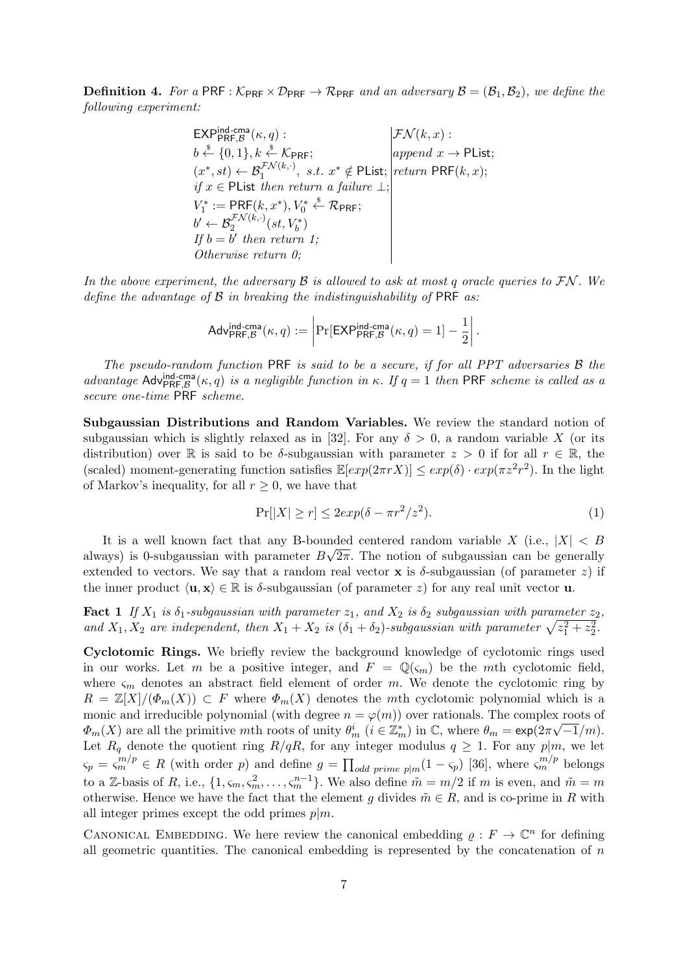**Definition 4.** For a PRF :  $K_{\text{PRF}} \times \mathcal{D}_{\text{PRF}} \rightarrow \mathcal{R}_{\text{PRF}}$  and an adversary  $\mathcal{B} = (\mathcal{B}_1, \mathcal{B}_2)$ , we define the following experiment:

> $\mathsf{EXP}_{\mathsf{PRF},\mathcal{B}}^{\mathsf{ind-cma}}$  $\begin{aligned} \mathcal{FN}(k, x): \ \operatorname{append}\ x \to \mathsf{Plist}; \end{aligned}$  $b \stackrel{\$}{\leftarrow} \{0,1\}, k \stackrel{\$}{\leftarrow} \mathcal{K}_{\mathsf{PRF}};$  append  $x \to \mathsf{Plist};$  $(x^*, st) \leftarrow \mathcal{B}_1^{\mathcal{FN}(k, \cdot)}, \; s.t. \; x^* \notin \textsf{Plist}; \left|\textit{return } \textsf{PRF}(k, x); \right.$ if  $x \in$  PList then return a failure  $\bot$ ;  $V_1^* := \mathsf{PRF}(k, x^*), V_0^* \overset{\$}{\leftarrow} \mathcal{R}_{\mathsf{PRF}};$  $b' \leftarrow \mathcal{B}^{\mathcal{FN}(k, \cdot)}_2(st, V^*_b)$ If  $b = b'$  then return 1; Otherwise return 0;

In the above experiment, the adversary  $\mathcal B$  is allowed to ask at most q oracle queries to  $\mathcal{FN}$ . We define the advantage of  $\beta$  in breaking the indistinguishability of PRF as:

$$
\mathsf{Adv}_{\mathsf{PRF},\mathcal{B}}^{\mathsf{ind-cma}}(\kappa,q) := \left| \Pr[\mathsf{EXP}_{\mathsf{PRF},\mathcal{B}}^{\mathsf{ind-cma}}(\kappa,q) = 1] - \frac{1}{2} \right|.
$$

The pseudo-random function PRF is said to be a secure, if for all PPT adversaries B the advantage  $\text{Adv}_{\text{PRF},\mathcal{B}}^{\text{ind-cma}}(\kappa,q)$  is a negligible function in  $\kappa$ . If  $q=1$  then PRF scheme is called as a secure one-time PRF scheme.

Subgaussian Distributions and Random Variables. We review the standard notion of subgaussian which is slightly relaxed as in [32]. For any  $\delta > 0$ , a random variable X (or its distribution) over R is said to be  $\delta$ -subgaussian with parameter  $z > 0$  if for all  $r \in \mathbb{R}$ , the (scaled) moment-generating function satisfies  $\mathbb{E}[exp(2\pi rX)] \leq exp(\delta) \cdot exp(\pi z^2 r^2)$ . In the light of Markov's inequality, for all  $r > 0$ , we have that

$$
\Pr[|X| \ge r] \le 2\exp(\delta - \pi r^2 / z^2). \tag{1}
$$

It is a well known fact that any B-bounded centered random variable  $X$  (i.e.,  $|X| < B$ ) always) is 0-subgaussian with parameter  $B\sqrt{2\pi}$ . The notion of subgaussian can be generally extended to vectors. We say that a random real vector **x** is  $\delta$ -subgaussian (of parameter z) if the inner product  $\langle \mathbf{u}, \mathbf{x} \rangle \in \mathbb{R}$  is  $\delta$ -subgaussian (of parameter z) for any real unit vector **u**.

**Fact 1** If  $X_1$  is  $\delta_1$ -subgaussian with parameter  $z_1$ , and  $X_2$  is  $\delta_2$  subgaussian with parameter  $z_2$ , and  $X_1, X_2$  are independent, then  $X_1 + X_2$  is  $(\delta_1 + \delta_2)$ -subgaussian with parameter  $\sqrt{z_1^2 + z_2^2}$ .

Cyclotomic Rings. We briefly review the background knowledge of cyclotomic rings used in our works. Let m be a positive integer, and  $F = \mathbb{Q}(\zeta_m)$  be the mth cyclotomic field, where  $\varsigma_m$  denotes an abstract field element of order m. We denote the cyclotomic ring by  $R = \mathbb{Z}[X]/(\Phi_m(X)) \subset F$  where  $\Phi_m(X)$  denotes the mth cyclotomic polynomial which is a monic and irreducible polynomial (with degree  $n = \varphi(m)$ ) over rationals. The complex roots of  $\Phi_m(X)$  are all the primitive mth roots of unity  $\theta_m^i$   $(i \in \mathbb{Z}_m^*)$  in  $\mathbb{C}$ , where  $\theta_m = \exp(2\pi\sqrt{-1}/m)$ . Let  $R_q$  denote the quotient ring  $R/qR$ , for any integer modulus  $q \ge 1$ . For any  $p|m$ , we let  $\varsigma_p = \varsigma_m^{m/p} \in R$  (with order p) and define  $g = \prod_{odd \ prime} p_{m}(1 - \varsigma_p)$  [36], where  $\varsigma_m^{m/p}$  belongs to a Z-basis of R, i.e.,  $\{1, \varsigma_m, \varsigma_m^2, \ldots, \varsigma_m^{n-1}\}$ . We also define  $\tilde{m} = m/2$  if m is even, and  $\tilde{m} = m$ otherwise. Hence we have the fact that the element g divides  $\tilde{m} \in R$ , and is co-prime in R with all integer primes except the odd primes  $p|m$ .

CANONICAL EMBEDDING. We here review the canonical embedding  $\rho: F \to \mathbb{C}^n$  for defining all geometric quantities. The canonical embedding is represented by the concatenation of  $n$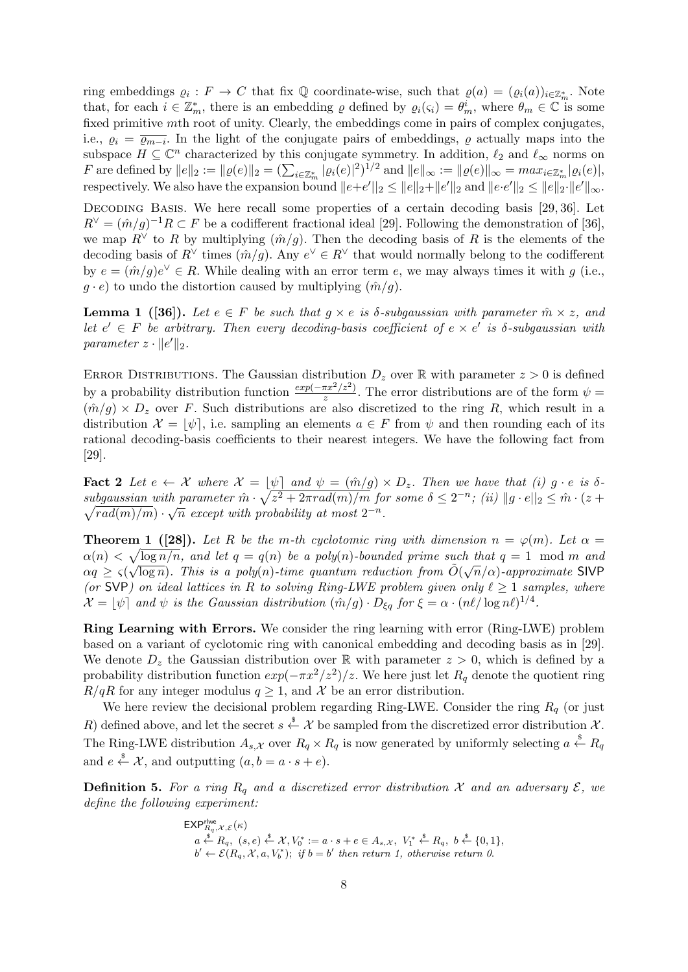ring embeddings  $\varrho_i : F \to C$  that fix  $\mathbb Q$  coordinate-wise, such that  $\varrho(a) = (\varrho_i(a))_{i \in \mathbb{Z}_m^*}$ . Note that, for each  $i \in \mathbb{Z}_m^*$ , there is an embedding  $\varrho$  defined by  $\varrho_i(\varsigma_i) = \theta_m^i$ , where  $\theta_m \in \mathbb{C}$  is some fixed primitive mth root of unity. Clearly, the embeddings come in pairs of complex conjugates, i.e.,  $\varrho_i = \overline{\varrho_{m-i}}$ . In the light of the conjugate pairs of embeddings,  $\varrho$  actually maps into the subspace  $H \subseteq \mathbb{C}^n$  characterized by this conjugate symmetry. In addition,  $\ell_2$  and  $\ell_{\infty}$  norms on F are defined by  $||e||_2 := ||\varrho(e)||_2 = (\sum_{i \in \mathbb{Z}_m^*} |\varrho_i(e)|^2)^{1/2}$  and  $||e||_{\infty} := ||\varrho(e)||_{\infty} = \max_{i \in \mathbb{Z}_m^*} |\varrho_i(e)|$ , respectively. We also have the expansion bound  $||e+e'||_2 \le ||e||_2 + ||e'||_2$  and  $||e \cdot e'||_2 \le ||e||_2 \cdot ||e'||_{\infty}$ .

DECODING BASIS. We here recall some properties of a certain decoding basis [29, 36]. Let  $R^{\vee} = (\hat{m}/g)^{-1}R \subset F$  be a codifferent fractional ideal [29]. Following the demonstration of [36], we map  $R^{\vee}$  to R by multiplying  $(\hat{m}/g)$ . Then the decoding basis of R is the elements of the decoding basis of  $R^{\vee}$  times  $(\hat{m}/g)$ . Any  $e^{\vee} \in R^{\vee}$  that would normally belong to the codifferent by  $e = (\hat{m}/g)e^{\vee} \in R$ . While dealing with an error term e, we may always times it with g (i.e.,  $g \cdot e$ ) to undo the distortion caused by multiplying  $(\hat{m}/g)$ .

**Lemma 1** ([36]). Let  $e \in F$  be such that  $g \times e$  is  $\delta$ -subgaussian with parameter  $\hat{m} \times z$ , and let  $e' \in F$  be arbitrary. Then every decoding-basis coefficient of  $e \times e'$  is  $\delta$ -subgaussian with parameter  $z \cdot ||e'||_2$ .

ERROR DISTRIBUTIONS. The Gaussian distribution  $D_z$  over R with parameter  $z > 0$  is defined by a probability distribution function  $\frac{exp(-\pi x^2/z^2)}{z}$  $\frac{\pi x^2}{z}$ . The error distributions are of the form  $\psi =$  $(\hat{m}/g) \times D_z$  over F. Such distributions are also discretized to the ring R, which result in a distribution  $\mathcal{X} = [\psi]$ , i.e. sampling an elements  $a \in F$  from  $\psi$  and then rounding each of its rational decoding-basis coefficients to their nearest integers. We have the following fact from [29].

**Fact 2** Let  $e \leftarrow \mathcal{X}$  where  $\mathcal{X} = [\psi]$  and  $\psi = (\hat{m}/g) \times D_z$ . Then we have that (i)  $g \cdot e$  is  $\delta$  $subgaussian with parameter \hat{m} \cdot \sqrt{z^2 + 2\pi rad(m)/m} \text{ for some } \delta \leq 2^{-n}$ ; (ii)  $||g \cdot e||_2 \leq \hat{m} \cdot (z + \sqrt{z^2 + 2\pi rad(m)/m})$  $\sqrt{rad(m)/m}$  ·  $\sqrt{n}$  except with probability at most  $2^{-n}$ .

**Theorem 1** ([28]). Let R be the m-th cyclotomic ring with dimension  $n = \varphi(m)$ . Let  $\alpha =$  $\alpha(n) < \sqrt{\log n/n}$ , and let  $q = q(n)$  be a poly(n)-bounded prime such that  $q = 1 \mod m$  and  $\alpha q \geq \varsigma(\sqrt{\log n})$ . This is a poly(n)-time quantum reduction from  $\tilde{O}(\sqrt{n}/\alpha)$ -approximate SIVP (or SVP) on ideal lattices in R to solving Ring-LWE problem given only  $\ell \geq 1$  samples, where  $\mathcal{X} = [\psi]$  and  $\psi$  is the Gaussian distribution  $(\hat{m}/g) \cdot D_{\xi q}$  for  $\xi = \alpha \cdot (n\ell/\log n\ell)^{1/4}$ .

Ring Learning with Errors. We consider the ring learning with error (Ring-LWE) problem based on a variant of cyclotomic ring with canonical embedding and decoding basis as in [29]. We denote  $D_z$  the Gaussian distribution over R with parameter  $z > 0$ , which is defined by a probability distribution function  $exp(-\pi x^2/z^2)/z$ . We here just let  $R_q$  denote the quotient ring  $R/qR$  for any integer modulus  $q \geq 1$ , and X be an error distribution.

We here review the decisional problem regarding Ring-LWE. Consider the ring  $R<sub>q</sub>$  (or just R) defined above, and let the secret  $s \stackrel{\$}{\leftarrow} \mathcal{X}$  be sampled from the discretized error distribution  $\mathcal{X}$ . The Ring-LWE distribution  $A_{s,X}$  over  $R_q \times R_q$  is now generated by uniformly selecting  $a \stackrel{\$}{\leftarrow} R_q$ and  $e \stackrel{\$}{\leftarrow} \mathcal{X}$ , and outputting  $(a, b = a \cdot s + e)$ .

**Definition 5.** For a ring  $R_q$  and a discretized error distribution X and an adversary  $\mathcal{E}$ , we define the following experiment:

$$
\mathsf{EXP}_{R_q,\mathcal{X},\mathcal{E}}^{\mathsf{true}}(\kappa)
$$
\n
$$
a \stackrel{\text{\$}}{\leftarrow} R_q, (s,e) \stackrel{\text{\$}}{\leftarrow} \mathcal{X}, V_0^* := a \cdot s + e \in A_{s,\mathcal{X}}, V_1^* \stackrel{\text{\$}}{\leftarrow} R_q, b \stackrel{\text{\$}}{\leftarrow} \{0,1\},
$$
\n
$$
b' \leftarrow \mathcal{E}(R_q, \mathcal{X}, a, V_b^*); \text{ if } b = b' \text{ then return 1, otherwise return 0.}
$$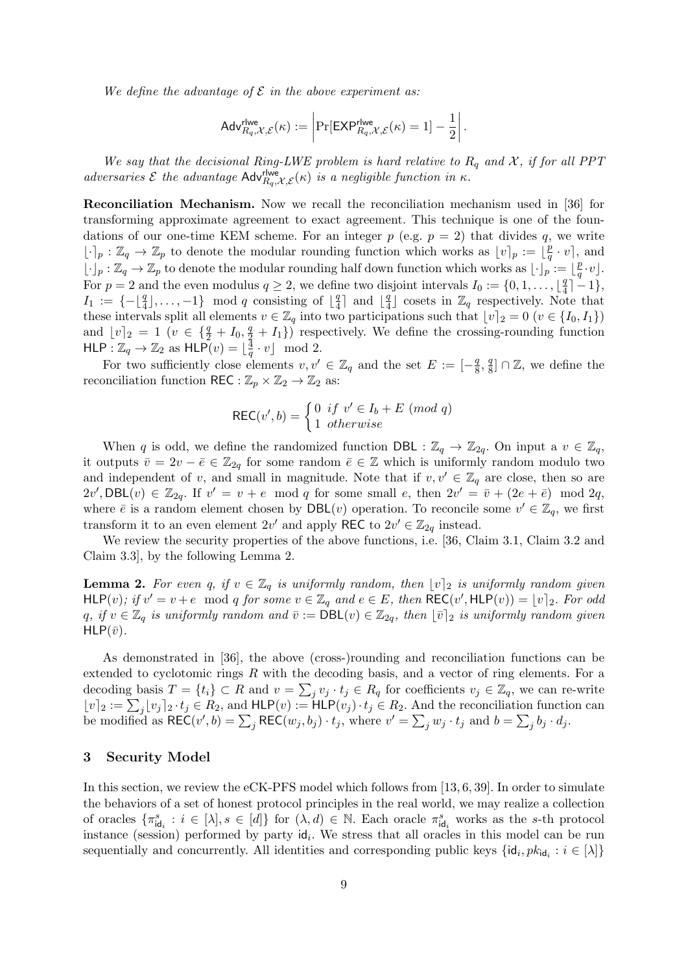We define the advantage of  $\mathcal E$  in the above experiment as:

$$
\mathsf{Adv}_{R_q,\mathcal{X},\mathcal{E}}^{\mathsf{rlwe}}(\kappa) := \left| \Pr[\mathsf{EXP}_{R_q,\mathcal{X},\mathcal{E}}^{\mathsf{rlwe}}(\kappa) = 1] - \frac{1}{2} \right|.
$$

We say that the decisional Ring-LWE problem is hard relative to  $R_q$  and X, if for all PPT adversaries  $\mathcal E$  the advantage  $\mathsf{Adv}_{R_q,\mathcal X,\mathcal E}^{H \text{we}}(\kappa)$  is a negligible function in  $\kappa$ .

Reconciliation Mechanism. Now we recall the reconciliation mechanism used in [36] for transforming approximate agreement to exact agreement. This technique is one of the foundations of our one-time KEM scheme. For an integer  $p$  (e.g.  $p = 2$ ) that divides q, we write  $[\cdot]_p : \mathbb{Z}_q \to \mathbb{Z}_p$  to denote the modular rounding function which works as  $[v]_p := [\frac{p}{q}]$  $\frac{p}{q} \cdot v$ , and  $\lfloor \cdot \rfloor_p : \mathbb{Z}_q \to \mathbb{Z}_p$  to denote the modular rounding half down function which works as  $\lfloor \cdot \rfloor_p : \lfloor \frac{p}{q} \rfloor$  $\frac{p}{q} \cdot v$ ]. For  $p = 2$  and the even modulus  $q \geq 2$ , we define two disjoint intervals  $I_0 := \{0, 1, \ldots, \lfloor \frac{q}{4} \rfloor \}$  $\frac{q}{4}$ ] - 1 },  $I_1 := \{-\lfloor \frac{q}{4} \rfloor, \ldots, -1\} \mod q$  consisting of  $\lfloor \frac{q}{4} \rfloor$  $\frac{q}{4}$  and  $\lfloor \frac{q}{4} \rfloor$  $\frac{q}{4}$  cosets in  $\mathbb{Z}_q$  respectively. Note that these intervals split all elements  $v \in \mathbb{Z}_q$  into two participations such that  $\lfloor v \rfloor_2 = 0$   $(v \in \{I_0, I_1\})$ and  $\lfloor v \rfloor_2 = 1$   $(v \in \{\frac{q}{2} + I_0, \frac{q}{2} + I_1\})$  respectively. We define the crossing-rounding function HLP :  $\mathbb{Z}_q \to \mathbb{Z}_2$  as  $HLP(v) = \lfloor \frac{3}{q} \rfloor$  $\frac{4}{q} \cdot v$  mod 2.

For two sufficiently close elements  $v, v' \in \mathbb{Z}_q$  and the set  $E := \left[-\frac{q}{8}\right]$  $\frac{q}{8}, \frac{q}{8}$  $\frac{q}{8}$   $\cap$  Z, we define the reconciliation function REC :  $\mathbb{Z}_p \times \mathbb{Z}_2 \to \mathbb{Z}_2$  as:

$$
REC(v', b) = \begin{cases} 0 & \text{if } v' \in I_b + E \pmod{q} \\ 1 & \text{otherwise} \end{cases}
$$

When q is odd, we define the randomized function DBL :  $\mathbb{Z}_q \to \mathbb{Z}_{2q}$ . On input a  $v \in \mathbb{Z}_q$ , it outputs  $\bar{v} = 2v - \bar{e} \in \mathbb{Z}_{2q}$  for some random  $\bar{e} \in \mathbb{Z}$  which is uniformly random modulo two and independent of v, and small in magnitude. Note that if  $v, v' \in \mathbb{Z}_q$  are close, then so are  $2v'$ , DBL $(v) \in \mathbb{Z}_{2q}$ . If  $v' = v + e \mod q$  for some small e, then  $2v' = \overline{v} + (2e + \overline{e}) \mod 2q$ , where  $\bar{e}$  is a random element chosen by DBL(*v*) operation. To reconcile some  $v' \in \mathbb{Z}_q$ , we first transform it to an even element  $2v'$  and apply REC to  $2v' \in \mathbb{Z}_{2q}$  instead.

We review the security properties of the above functions, i.e. [36, Claim 3.1, Claim 3.2 and Claim 3.3], by the following Lemma 2.

**Lemma 2.** For even q, if  $v \in \mathbb{Z}_q$  is uniformly random, then  $\lfloor v \rfloor_2$  is uniformly random given  $HLP(v)$ ; if  $v' = v + e \mod q$  for some  $v \in \mathbb{Z}_q$  and  $e \in E$ , then  $REC(v', HLP(v)) = \lfloor v \rfloor_2$ . For odd q, if  $v \in \mathbb{Z}_q$  is uniformly random and  $\bar{v} := \text{DBL}(v) \in \mathbb{Z}_{2q}$ , then  $\lfloor \bar{v} \rfloor_2$  is uniformly random given  $HLP(\bar{v})$ .

As demonstrated in [36], the above (cross-)rounding and reconciliation functions can be extended to cyclotomic rings R with the decoding basis, and a vector of ring elements. For a decoding basis  $T = \{t_i\} \subset R$  and  $v = \sum_j v_j \cdot t_j \in R_q$  for coefficients  $v_j \in \mathbb{Z}_q$ , we can re-write  $\lfloor v \rfloor_2 := \sum_j \lfloor v_j \rfloor_2 \cdot t_j \in R_2$ , and  $HLP(v) := HLP(v_j) \cdot t_j \in R_2$ . And the reconciliation function can be modified as  $\mathsf{REC}(v', b) = \sum_j \mathsf{REC}(w_j, b_j) \cdot t_j$ , where  $v' = \sum_j w_j \cdot t_j$  and  $b = \sum_j b_j \cdot d_j$ .

#### 3 Security Model

In this section, we review the eCK-PFS model which follows from [13, 6, 39]. In order to simulate the behaviors of a set of honest protocol principles in the real world, we may realize a collection of oracles  $\{\pi_{\mathsf{id}_i}^s : i \in [\lambda], s \in [d]\}\$  for  $(\lambda, d) \in \mathbb{N}$ . Each oracle  $\pi_{\mathsf{id}_i}^s$  works as the s-th protocol instance (session) performed by party  $\mathsf{id}_i$ . We stress that all oracles in this model can be run sequentially and concurrently. All identities and corresponding public keys  $\{id_i, pk_{id_i} : i \in [\lambda]\}$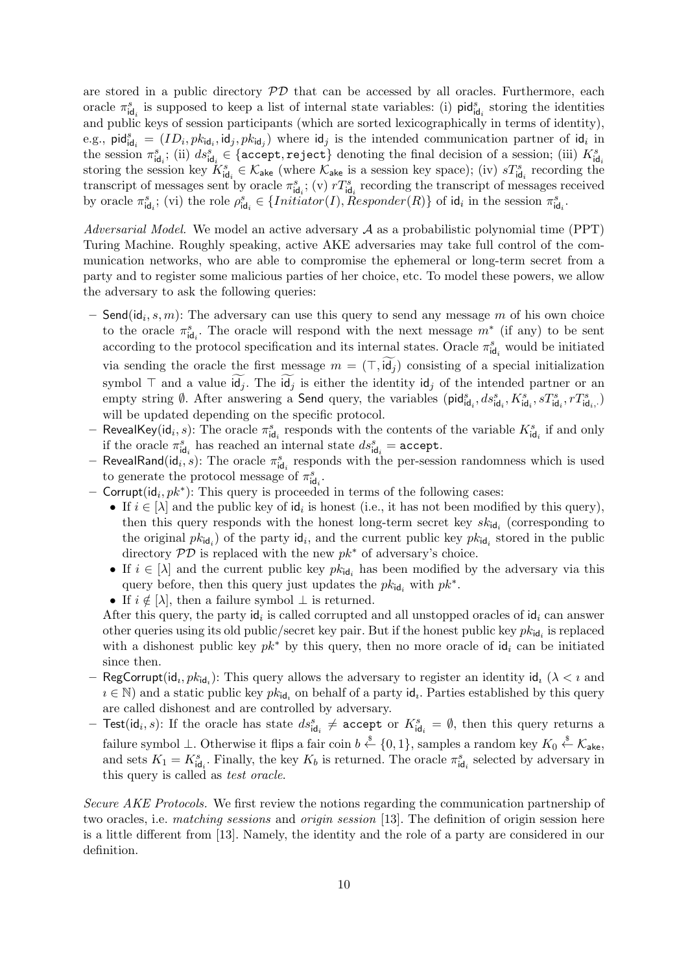are stored in a public directory  $\mathcal{P}\mathcal{D}$  that can be accessed by all oracles. Furthermore, each oracle  $\pi_{\text{id}_i}^s$  is supposed to keep a list of internal state variables: (i) pid $_{\text{id}_i}^s$  storing the identities and public keys of session participants (which are sorted lexicographically in terms of identity), e.g.,  $\text{pid}_{\mathsf{id}_i}^s = (ID_i, pk_{\mathsf{id}_i}, \mathsf{id}_j, pk_{\mathsf{id}_j})$  where  $\mathsf{id}_j$  is the intended communication partner of  $\mathsf{id}_i$  in the session  $\pi_{\mathsf{id}_i}^s$ ; (ii)  $ds_{\mathsf{id}_i}^s \in \{\texttt{accept}, \texttt{reject}\}$  denoting the final decision of a session; (iii)  $K_{\mathsf{id}_i}^s$ storing the session key  $K_{\mathsf{id}_i}^s \in \mathcal{K}_{\mathsf{ake}}$  (where  $\mathcal{K}_{\mathsf{ake}}$  is a session key space); (iv)  $sT_{\mathsf{id}_i}^s$  recording the transcript of messages sent by oracle  $\pi_{\text{id}_i}^s$ ; (v)  $rT_{\text{id}_i}^s$  recording the transcript of messages received by oracle  $\pi_{\mathsf{id}_i}^s$ ; (vi) the role  $\rho_{\mathsf{id}_i}^s \in \{Initiator(I), Responder(R)\}$  of  $\mathsf{id}_i$  in the session  $\pi_{\mathsf{id}_i}^s$ .

Adversarial Model. We model an active adversary  $A$  as a probabilistic polynomial time (PPT) Turing Machine. Roughly speaking, active AKE adversaries may take full control of the communication networks, who are able to compromise the ephemeral or long-term secret from a party and to register some malicious parties of her choice, etc. To model these powers, we allow the adversary to ask the following queries:

- $-$  Send(id<sub>i</sub>, s, m): The adversary can use this query to send any message m of his own choice to the oracle  $\pi_{\mathsf{id}_i}^s$ . The oracle will respond with the next message  $m^*$  (if any) to be sent according to the protocol specification and its internal states. Oracle  $\pi_{\mathsf{id}_i}^s$  would be initiated via sending the oracle the first message  $m = (\top, id_i)$  consisting of a special initialization symbol  $\top$  and a value  $\mathsf{id}_j$ . The  $\mathsf{id}_j$  is either the identity  $\mathsf{id}_j$  of the intended partner or an empty string Ø. After answering a Send query, the variables  $(\text{pid}_{\mathsf{id}_i}, ds^s_{\mathsf{id}_i}, K^s_{\mathsf{id}_i}, sT^s_{\mathsf{id}_i}, rT^s_{\mathsf{id}_i, \cdot})$ will be updated depending on the specific protocol.
- RevealKey(id<sub>i</sub>, s): The oracle  $\pi_{\text{id}_i}^s$  responds with the contents of the variable  $K_{\text{id}_i}^s$  if and only if the oracle  $\pi_{\text{id}_i}^s$  has reached an internal state  $ds_{\text{id}_i}^s = \text{accept}$ .
- RevealRand( $id_i, s$ ): The oracle  $\pi_{id_i}^s$  responds with the per-session randomness which is used to generate the protocol message of  $\pi_{\mathsf{id}_i}^s$ .
- Corrupt(id<sub>i</sub>,  $pk^*$ ): This query is proceeded in terms of the following cases:
	- If  $i \in [\lambda]$  and the public key of id<sub>i</sub> is honest (i.e., it has not been modified by this query), then this query responds with the honest long-term secret key  $sk_{\mathsf{id}_i}$  (corresponding to the original  $pk_{\mathsf{id}_i}$  of the party  $\mathsf{id}_i$ , and the current public key  $pk_{\mathsf{id}_i}$  stored in the public directory  $\mathcal{PD}$  is replaced with the new  $pk^*$  of adversary's choice.
	- If  $i \in [\lambda]$  and the current public key  $pk_{id_i}$  has been modified by the adversary via this query before, then this query just updates the  $pk_{\mathsf{id}_i}$  with  $pk^*$ .
	- If  $i \notin [\lambda]$ , then a failure symbol  $\bot$  is returned.

After this query, the party  $\mathsf{id}_i$  is called corrupted and all unstopped oracles of  $\mathsf{id}_i$  can answer other queries using its old public/secret key pair. But if the honest public key  $pk_{id_i}$  is replaced with a dishonest public key  $pk^*$  by this query, then no more oracle of  $id_i$  can be initiated since then.

- RegCorrupt( $id_i, pk_{id_i}$ ): This query allows the adversary to register an identity  $id_i$  ( $\lambda < i$  and  $i \in \mathbb{N}$ ) and a static public key  $pk_{id_i}$  on behalf of a party  $id_i$ . Parties established by this query are called dishonest and are controlled by adversary.
- $-$  Test(id<sub>i</sub>, s): If the oracle has state  $ds_{\mathsf{id}_i}^s \neq \texttt{accept}$  or  $K_{\mathsf{id}_i}^s = \emptyset$ , then this query returns a failure symbol ⊥. Otherwise it flips a fair coin  $b \stackrel{\$}{\leftarrow} \{0,1\}$ , samples a random key  $K_0 \stackrel{\$}{\leftarrow} K_{abc}$ , and sets  $K_1 = K_{\text{id}_i}^s$ . Finally, the key  $K_b$  is returned. The oracle  $\pi_{\text{id}_i}^s$  selected by adversary in this query is called as test oracle.

Secure AKE Protocols. We first review the notions regarding the communication partnership of two oracles, i.e. *matching sessions* and *origin session* [13]. The definition of origin session here is a little different from [13]. Namely, the identity and the role of a party are considered in our definition.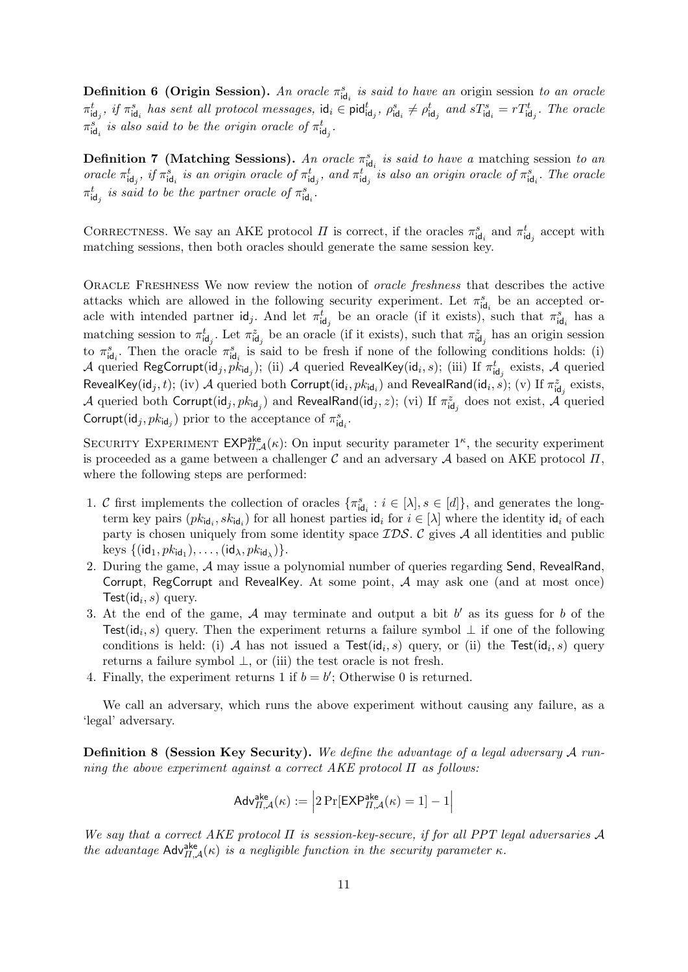**Definition 6 (Origin Session).** An oracle  $\pi_{\text{id}_i}^s$  is said to have an origin session to an oracle  $\pi_{\mathsf{id}_j}^t$ , if  $\pi_{\mathsf{id}_i}^s$  has sent all protocol messages,  $\mathsf{id}_i \in \mathsf{pid}_{\mathsf{id}_j}$ ,  $\rho_{\mathsf{id}_i}^s \neq \rho_{\mathsf{id}_j}^t$  and  $sT_{\mathsf{id}_i}^s = rT_{\mathsf{id}_j}^t$ . The oracle  $\pi_{\mathsf{id}_i}^s$  is also said to be the origin oracle of  $\pi_{\mathsf{id}_j}^t$ .

**Definition 7** (Matching Sessions). An oracle  $\pi_{\text{id}_i}^s$  is said to have a matching session to an oracle  $\pi_{\text{id}_j}^t$ , if  $\pi_{\text{id}_i}^s$  is an origin oracle of  $\pi_{\text{id}_j}^t$ , and  $\pi_{\text{id}_j}^t$  is also an origin oracle of  $\pi_{\text{id}_i}^s$ . The oracle  $\pi_{\mathsf{id}_j}^t$  is said to be the partner oracle of  $\pi_{\mathsf{id}_i}^s$ .

CORRECTNESS. We say an AKE protocol  $\Pi$  is correct, if the oracles  $\pi_{\text{id}_i}^s$  and  $\pi_{\text{id}_j}^t$  accept with matching sessions, then both oracles should generate the same session key.

Oracle Freshness We now review the notion of oracle freshness that describes the active attacks which are allowed in the following security experiment. Let  $\pi_{\text{id}_i}^s$  be an accepted oracle with intended partner  $\mathsf{id}_j$ . And let  $\pi_{\mathsf{id}_j}^t$  be an oracle (if it exists), such that  $\pi_{\mathsf{id}_i}^s$  has a matching session to  $\pi_{\text{id}_j}^t$ . Let  $\pi_{\text{id}_j}^z$  be an oracle (if it exists), such that  $\pi_{\text{id}_j}^z$  has an origin session to  $\pi_{\mathsf{id}_i}^s$ . Then the oracle  $\pi_{\mathsf{id}_i}^s$  is said to be fresh if none of the following conditions holds: (i)  $\cal A$  queried RegCorrupt(id $_j, p\dot k_{\sf id}_j);$  (ii)  $\cal A$  queried RevealKey(id $_i, s);$  (iii) If  $\pi^t_{\sf id}_j$  exists,  $\cal A$  queried RevealKey(id $_j,t$ ); (iv)  ${\cal A}$  queried both Corrupt(id $_i,pk_{{\sf id}_i}$ ) and RevealRand(id $_i,\check{s})$ ; (v) If  $\pi_{\sf id_j}^z$  exists,  $\cal A$  queried both  $\sf{Corrupt}(\sf id_j, \sf pk_{\sf id_j})$  and  $\sf RevealRand(\sf id_j, z);$   $(\sf vi)$  If  $\pi_{\sf id_j}^z$  does not exist,  $\cal A$  queried  $\mathsf{Corrupt}(\mathsf{id}_j, \mathit{pk}_{\mathsf{id}_j})$  prior to the acceptance of  $\pi^s_{\mathsf{id}_i}.$ 

SECURITY EXPERIMENT  $\mathsf{EXP}_{\Pi,\mathcal{A}}^{\mathsf{ake}}(\kappa)$ : On input security parameter  $1^{\kappa}$ , the security experiment is proceeded as a game between a challenger  $\mathcal C$  and an adversary  $\mathcal A$  based on AKE protocol  $\Pi$ , where the following steps are performed:

- 1. C first implements the collection of oracles  $\{\pi_{\mathsf{id}_i}^s : i \in [\lambda], s \in [d]\}$ , and generates the longterm key pairs  $(pk_{id_i}, sk_{id_i})$  for all honest parties  $id_i$  for  $i \in [\lambda]$  where the identity  $id_i$  of each party is chosen uniquely from some identity space  $\mathcal{IDS}$ . C gives  $\mathcal A$  all identities and public keys  $\{(\mathsf{id}_1, \mathsf{pk}_{\mathsf{id}_1}), \ldots, (\mathsf{id}_\lambda, \mathsf{pk}_{\mathsf{id}_\lambda})\}.$
- 2. During the game, A may issue a polynomial number of queries regarding Send, RevealRand, Corrupt, RegCorrupt and RevealKey. At some point,  $A$  may ask one (and at most once) Test( $id_i, s$ ) query.
- 3. At the end of the game,  $A$  may terminate and output a bit  $b'$  as its guess for  $b$  of the Test( $\mathsf{id}_i$ , s) query. Then the experiment returns a failure symbol  $\perp$  if one of the following conditions is held: (i) A has not issued a Test( $\mathrm{id}_i$ , s) query, or (ii) the Test( $\mathrm{id}_i$ , s) query returns a failure symbol  $\perp$ , or (iii) the test oracle is not fresh.
- 4. Finally, the experiment returns 1 if  $b = b'$ ; Otherwise 0 is returned.

We call an adversary, which runs the above experiment without causing any failure, as a 'legal' adversary.

Definition 8 (Session Key Security). We define the advantage of a legal adversary A running the above experiment against a correct  $AKE$  protocol  $\Pi$  as follows:

$$
\mathsf{Adv}_{\varPi,\mathcal{A}}^{\mathsf{ake}}(\kappa) := \left|2\Pr[\mathsf{EXP}_{\varPi,\mathcal{A}}^{\mathsf{ake}}(\kappa) = 1] - 1\right|
$$

We say that a correct AKE protocol  $\Pi$  is session-key-secure, if for all PPT legal adversaries A the advantage  $\mathsf{Adv}_{\Pi,\mathcal{A}}^{\mathsf{ake}}(\kappa)$  is a negligible function in the security parameter  $\kappa$ .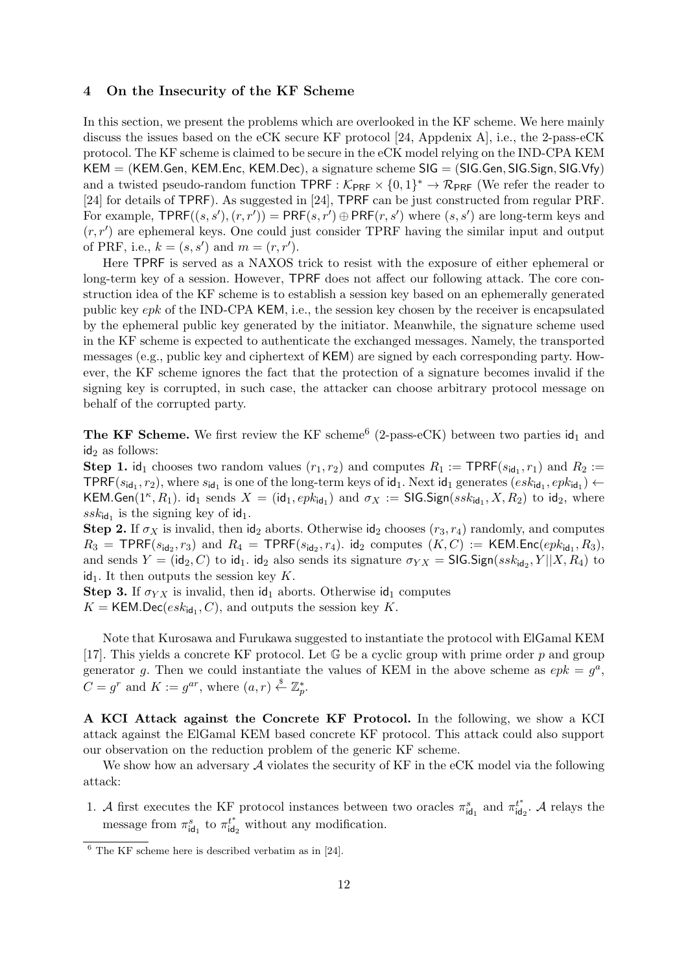#### 4 On the Insecurity of the KF Scheme

In this section, we present the problems which are overlooked in the KF scheme. We here mainly discuss the issues based on the eCK secure KF protocol [24, Appdenix A], i.e., the 2-pass-eCK protocol. The KF scheme is claimed to be secure in the eCK model relying on the IND-CPA KEM  $KEM = (KEM.Gen, KEMEnc, KEMDec), a signature scheme SIG = (SIG.Gen, SIG.Sign, SIG.Vfy)$ and a twisted pseudo-random function  $\text{TPRF} : \mathcal{K}_{\text{PRF}} \times \{0,1\}^* \to \mathcal{R}_{\text{PRF}}$  (We refer the reader to [24] for details of TPRF). As suggested in [24], TPRF can be just constructed from regular PRF. For example,  $\text{TPRF}((s, s'), (r, r')) = \text{PRF}(s, r') \oplus \text{PRF}(r, s')$  where  $(s, s')$  are long-term keys and  $(r, r')$  are ephemeral keys. One could just consider TPRF having the similar input and output of PRF, i.e.,  $k = (s, s')$  and  $m = (r, r')$ .

Here TPRF is served as a NAXOS trick to resist with the exposure of either ephemeral or long-term key of a session. However, TPRF does not affect our following attack. The core construction idea of the KF scheme is to establish a session key based on an ephemerally generated public key epk of the IND-CPA KEM, i.e., the session key chosen by the receiver is encapsulated by the ephemeral public key generated by the initiator. Meanwhile, the signature scheme used in the KF scheme is expected to authenticate the exchanged messages. Namely, the transported messages (e.g., public key and ciphertext of KEM) are signed by each corresponding party. However, the KF scheme ignores the fact that the protection of a signature becomes invalid if the signing key is corrupted, in such case, the attacker can choose arbitrary protocol message on behalf of the corrupted party.

The KF Scheme. We first review the KF scheme<sup>6</sup> (2-pass-eCK) between two parties  $\mathsf{id}_1$  and  $id_2$  as follows:

**Step 1.** id<sub>1</sub> chooses two random values  $(r_1, r_2)$  and computes  $R_1 := \text{TPRF}(s_{\text{id}_1}, r_1)$  and  $R_2 :=$ TPRF( $s_{\mathsf{id}_1}, r_2$ ), where  $s_{\mathsf{id}_1}$  is one of the long-term keys of  $\mathsf{id}_1$ . Next  $\mathsf{id}_1$  generates  $(esk_{\mathsf{id}_1}, epk_{\mathsf{id}_1}) \leftarrow$ KEM.Gen( $1^k$ ,  $R_1$ ). id<sub>1</sub> sends  $X = (\text{id}_1, epk_{\text{id}_1})$  and  $\sigma_X := \text{SIGS}$ . Sign( $ssk_{\text{id}_1}, X, R_2$ ) to id<sub>2</sub>, where  $ssk_{\mathsf{id}_1}$  is the signing key of  $\mathsf{id}_1$ .

Step 2. If  $\sigma_X$  is invalid, then id<sub>2</sub> aborts. Otherwise id<sub>2</sub> chooses  $(r_3, r_4)$  randomly, and computes  $R_3$  = TPRF( $s_{\mathsf{id}_2}, r_3$ ) and  $R_4$  = TPRF( $s_{\mathsf{id}_2}, r_4$ ). id<sub>2</sub> computes  $(K, C) := \mathsf{KEM}$ .Enc( $epk_{\mathsf{id}_1}, R_3$ ), and sends  $Y = (\mathsf{id}_2, C)$  to  $\mathsf{id}_1$ .  $\mathsf{id}_2$  also sends its signature  $\sigma_{YX} = \mathsf{SIGS}(\mathsf{ssk}_{\mathsf{id}_2}, Y||X, R_4)$  to  $id_1$ . It then outputs the session key K.

**Step 3.** If  $\sigma_{YX}$  is invalid, then  $\mathsf{id}_1$  aborts. Otherwise  $\mathsf{id}_1$  computes

 $K = \text{KEM.Dec}(esk_{\text{id}_1}, C)$ , and outputs the session key K.

Note that Kurosawa and Furukawa suggested to instantiate the protocol with ElGamal KEM [17]. This yields a concrete KF protocol. Let  $\mathbb G$  be a cyclic group with prime order p and group generator g. Then we could instantiate the values of KEM in the above scheme as  $epk = g<sup>a</sup>$ ,  $C = g^r$  and  $K := g^{ar}$ , where  $(a, r) \stackrel{\$}{\leftarrow} \mathbb{Z}_p^*$ .

A KCI Attack against the Concrete KF Protocol. In the following, we show a KCI attack against the ElGamal KEM based concrete KF protocol. This attack could also support our observation on the reduction problem of the generic KF scheme.

We show how an adversary  $A$  violates the security of KF in the eCK model via the following attack:

1. A first executes the KF protocol instances between two oracles  $\pi_{\text{id}_1}^s$  and  $\pi_{\text{id}}^{t^*}$  $u_{\mathsf{id}_2}^{t^*}$ . A relays the message from  $\pi_{\mathsf{id}_1}^s$  to  $\pi_{\mathsf{id}}^{t^*}$  $\int_{\text{id}_2}^{t^*}$  without any modification.

 $6$  The KF scheme here is described verbatim as in [24].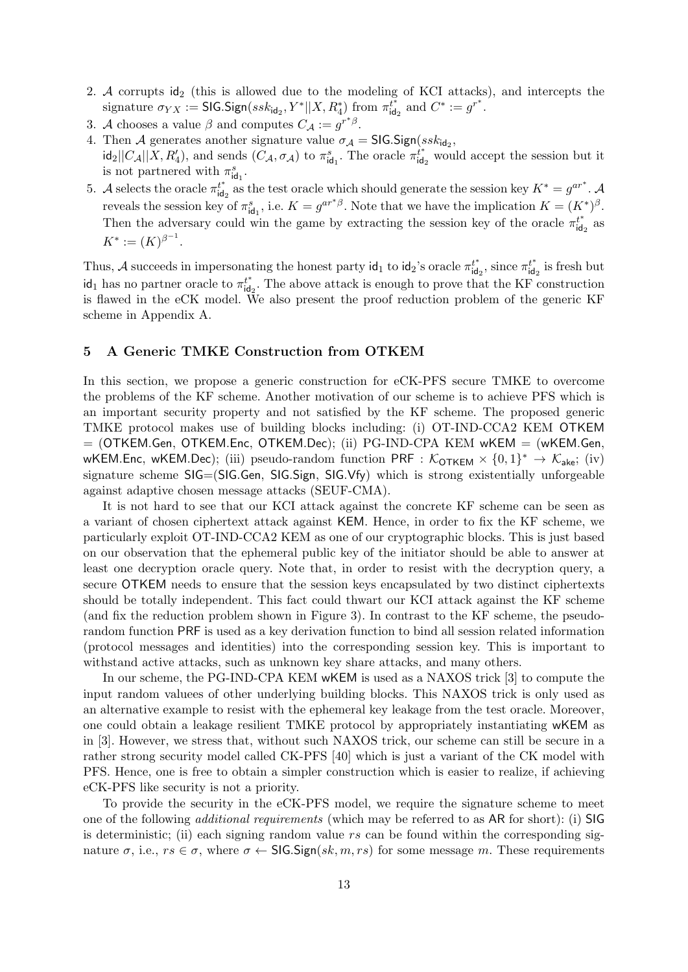- 2. A corrupts  $id_2$  (this is allowed due to the modeling of KCI attacks), and intercepts the  $\text{signature }\sigma_{YX}:=\textsf{SIG}. \textsf{Sign}(ssk_{\textsf{id}_2},Y^{*} \vert\vert X, R^*_4) \text{ from } \pi_{\textsf{id}}^{\overline{t^*}}$  $t^*_{\text{id}_2}$  and  $C^* := g^{r^*}.$
- 3. A chooses a value  $\beta$  and computes  $C_{\mathcal{A}} := g^{r^*\beta}$ .
- 4. Then A generates another signature value  $\sigma_{\mathcal{A}} = \mathsf{SIGS}(\mathsf{ssk}_{\mathsf{id}_2},$  $\text{id}_2||C_{\mathcal{A}}||X, R'_4$ , and sends  $(C_{\mathcal{A}}, \sigma_{\mathcal{A}})$  to  $\pi_{\text{id}_1}^s$ . The oracle  $\pi_{\text{id}}^{t^*}$  $\int_{\text{id}_2}^{t^*}$  would accept the session but it is not partnered with  $\pi_{\mathsf{id}_1}^s$ .
- 5. A selects the oracle  $\pi_{\text{id}}^{t^*}$  $u_{\mathsf{id}_2}^*$  as the test oracle which should generate the session key  $K^* = g^{ar^*}$ . reveals the session key of  $\pi_{\text{id}_1}^s$ , i.e.  $K = g^{ar^*\beta}$ . Note that we have the implication  $K = (K^*)^{\beta}$ . Then the adversary could win the game by extracting the session key of the oracle  $\pi_{id}^{t^*}$  $i_{\mathsf{id}_2}^{t^*}$  as  $K^* := (K)^{\beta^{-1}}.$

Thus, A succeeds in impersonating the honest party  $\mathsf{id}_1$  to  $\mathsf{id}_2$ 's oracle  $\pi_{\mathsf{id}}^{t^*}$  $t_{\mathsf{id}_2}^t$ , since  $\pi_{\mathsf{id}}^{t^*}$  $t_{\mathsf{id}_2}^t$  is fresh but id<sub>1</sub> has no partner oracle to  $\pi_{\text{id}}^{t^*}$  $i_{\mathsf{id}_2}^*$ . The above attack is enough to prove that the KF construction is flawed in the eCK model. We also present the proof reduction problem of the generic KF scheme in Appendix A.

## 5 A Generic TMKE Construction from OTKEM

In this section, we propose a generic construction for eCK-PFS secure TMKE to overcome the problems of the KF scheme. Another motivation of our scheme is to achieve PFS which is an important security property and not satisfied by the KF scheme. The proposed generic TMKE protocol makes use of building blocks including: (i) OT-IND-CCA2 KEM OTKEM = (OTKEM.Gen, OTKEM.Enc, OTKEM.Dec); (ii) PG-IND-CPA KEM wKEM = (wKEM.Gen, WKEM.Enc, wKEM.Dec); (iii) pseudo-random function PRF :  $K_{\text{OTKEM}} \times \{0,1\}^* \to K_{\text{ake}}$ ; (iv) signature scheme SIG=(SIG.Gen, SIG.Sign, SIG.Vfy) which is strong existentially unforgeable against adaptive chosen message attacks (SEUF-CMA).

It is not hard to see that our KCI attack against the concrete KF scheme can be seen as a variant of chosen ciphertext attack against KEM. Hence, in order to fix the KF scheme, we particularly exploit OT-IND-CCA2 KEM as one of our cryptographic blocks. This is just based on our observation that the ephemeral public key of the initiator should be able to answer at least one decryption oracle query. Note that, in order to resist with the decryption query, a secure OTKEM needs to ensure that the session keys encapsulated by two distinct ciphertexts should be totally independent. This fact could thwart our KCI attack against the KF scheme (and fix the reduction problem shown in Figure 3). In contrast to the KF scheme, the pseudorandom function PRF is used as a key derivation function to bind all session related information (protocol messages and identities) into the corresponding session key. This is important to withstand active attacks, such as unknown key share attacks, and many others.

In our scheme, the PG-IND-CPA KEM wKEM is used as a NAXOS trick [3] to compute the input random valuees of other underlying building blocks. This NAXOS trick is only used as an alternative example to resist with the ephemeral key leakage from the test oracle. Moreover, one could obtain a leakage resilient TMKE protocol by appropriately instantiating wKEM as in [3]. However, we stress that, without such NAXOS trick, our scheme can still be secure in a rather strong security model called CK-PFS [40] which is just a variant of the CK model with PFS. Hence, one is free to obtain a simpler construction which is easier to realize, if achieving eCK-PFS like security is not a priority.

To provide the security in the eCK-PFS model, we require the signature scheme to meet one of the following additional requirements (which may be referred to as AR for short): (i) SIG is deterministic; (ii) each signing random value  $rs$  can be found within the corresponding signature  $\sigma$ , i.e.,  $rs \in \sigma$ , where  $\sigma \leftarrow \text{SIGSign}(sk, m, rs)$  for some message m. These requirements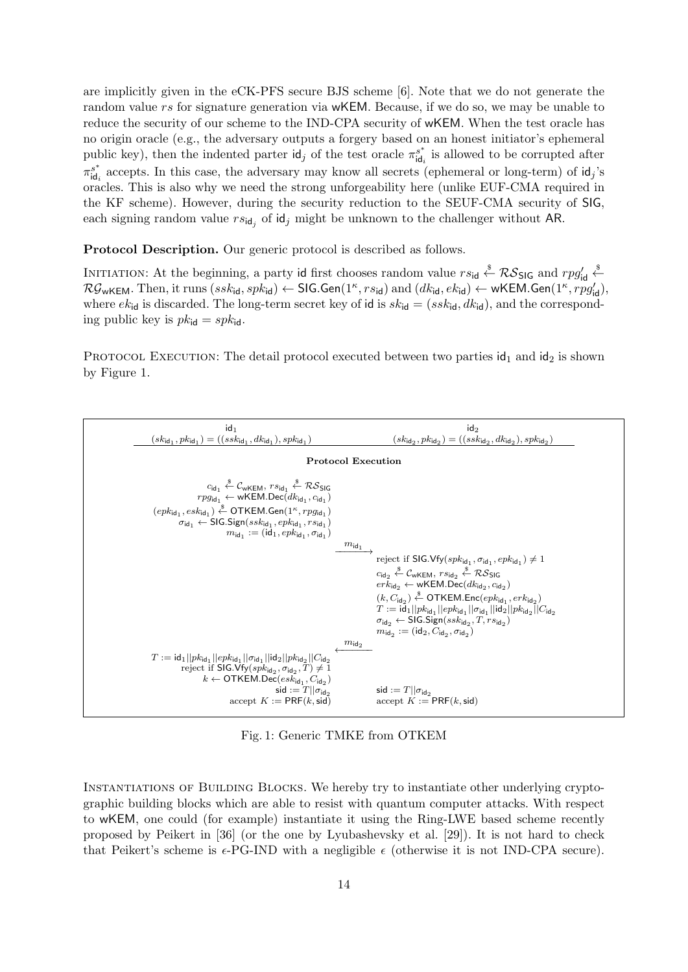are implicitly given in the eCK-PFS secure BJS scheme [6]. Note that we do not generate the random value rs for signature generation via wKEM. Because, if we do so, we may be unable to reduce the security of our scheme to the IND-CPA security of wKEM. When the test oracle has no origin oracle (e.g., the adversary outputs a forgery based on an honest initiator's ephemeral public key), then the indented parter  $\mathsf{id}_j$  of the test oracle  $\pi_{\mathsf{id}}^{s^*}$  $s_{\mathsf{id}_i}^s$  is allowed to be corrupted after  $\pi_{\mathsf{id}}^{s^*}$  $\int_{\text{id}_i}^s$  accepts. In this case, the adversary may know all secrets (ephemeral or long-term) of  $\text{id}_j$ 's oracles. This is also why we need the strong unforgeability here (unlike EUF-CMA required in the KF scheme). However, during the security reduction to the SEUF-CMA security of SIG, each signing random value  $rs_{\mathsf{id}_j}$  of  $\mathsf{id}_j$  might be unknown to the challenger without AR.

Protocol Description. Our generic protocol is described as follows.

INITIATION: At the beginning, a party id first chooses random value  $rs_{\text{id}} \stackrel{\$}{\leftarrow} \mathcal{RS}_{\text{SIG}}$  and  $rpg'_{\text{id}} \stackrel{\$}{\leftarrow}$  $\mathcal{RG}_{\mathsf{wKEM}}.$  Then, it runs  $(ssk_{\mathsf{id}},spk_{\mathsf{id}}) \leftarrow \mathsf{SIG}.\mathsf{Gen}(1^\kappa,rs_{\mathsf{id}}) \text{ and } (dk_{\mathsf{id}},ek_{\mathsf{id}}) \leftarrow \mathsf{wKEM}.\mathsf{Gen}(1^\kappa,rpg'_{\mathsf{id}}),$ where  $ek_{\text{id}}$  is discarded. The long-term secret key of id is  $sk_{\text{id}} = (ssk_{\text{id}}, dk_{\text{id}})$ , and the corresponding public key is  $pk_{\mathsf{id}} = spk_{\mathsf{id}}$ .

PROTOCOL EXECUTION: The detail protocol executed between two parties  $\mathsf{id}_1$  and  $\mathsf{id}_2$  is shown by Figure 1.



Fig. 1: Generic TMKE from OTKEM

INSTANTIATIONS OF BUILDING BLOCKS. We hereby try to instantiate other underlying cryptographic building blocks which are able to resist with quantum computer attacks. With respect to wKEM, one could (for example) instantiate it using the Ring-LWE based scheme recently proposed by Peikert in [36] (or the one by Lyubashevsky et al. [29]). It is not hard to check that Peikert's scheme is  $\epsilon$ -PG-IND with a negligible  $\epsilon$  (otherwise it is not IND-CPA secure).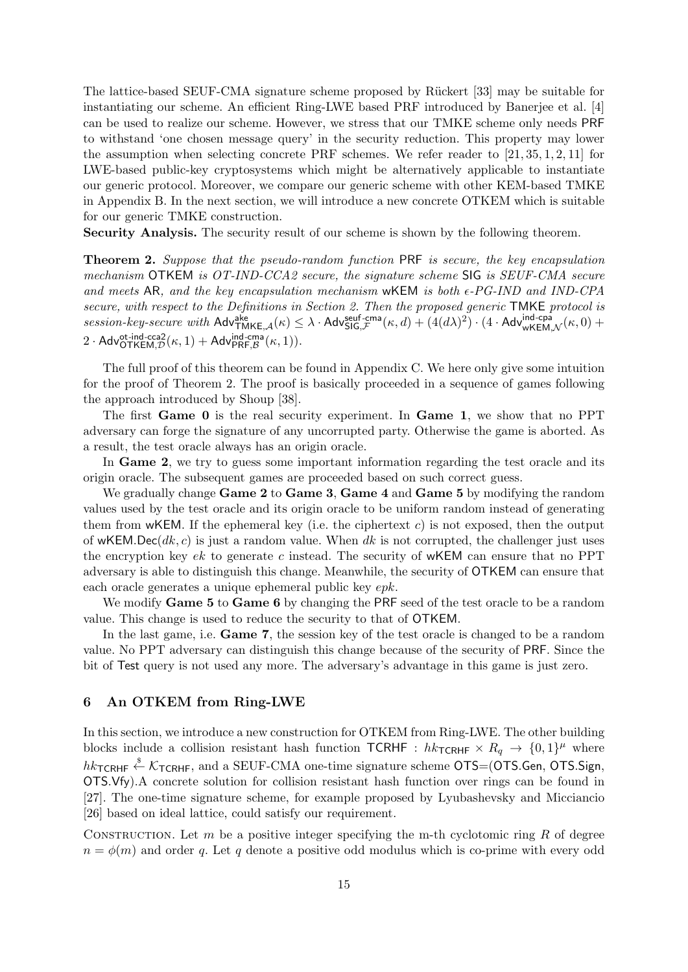The lattice-based SEUF-CMA signature scheme proposed by Rückert [33] may be suitable for instantiating our scheme. An efficient Ring-LWE based PRF introduced by Banerjee et al. [4] can be used to realize our scheme. However, we stress that our TMKE scheme only needs PRF to withstand 'one chosen message query' in the security reduction. This property may lower the assumption when selecting concrete PRF schemes. We refer reader to  $[21, 35, 1, 2, 11]$  for LWE-based public-key cryptosystems which might be alternatively applicable to instantiate our generic protocol. Moreover, we compare our generic scheme with other KEM-based TMKE in Appendix B. In the next section, we will introduce a new concrete OTKEM which is suitable for our generic TMKE construction.

Security Analysis. The security result of our scheme is shown by the following theorem.

Theorem 2. Suppose that the pseudo-random function PRF is secure, the key encapsulation mechanism OTKEM is OT-IND-CCA2 secure, the signature scheme SIG is SEUF-CMA secure and meets AR, and the key encapsulation mechanism wKEM is both  $\epsilon$ -PG-IND and IND-CPA secure, with respect to the Definitions in Section 2. Then the proposed generic TMKE protocol is  $\textit{session-key-secure with Adv}_{\textsf{TMKE},\mathcal{A}}(\kappa) \leq \lambda \cdot \textsf{Adv}_{\textsf{SIG},\mathcal{F}}^{\textsf{self-cma}}(\kappa,d) + (\bar{4}(d\lambda)^2) \cdot (4 \cdot \textsf{Adv}_{\textsf{wKEM},\mathcal{N}}^{\textsf{ind-cpa}}(\kappa,0) +$  $2 \cdot \mathsf{Adv}_{\mathsf{OTKEM},\mathcal{D}}^{\mathsf{ot-ind}\text{-}\mathsf{cca2}}(\kappa,1) + \mathsf{Adv}_{\mathsf{PRF},\mathcal{B}}^{\mathsf{ind}\text{-}\mathsf{cma}}(\kappa,1)).$ 

The full proof of this theorem can be found in Appendix C. We here only give some intuition for the proof of Theorem 2. The proof is basically proceeded in a sequence of games following the approach introduced by Shoup [38].

The first Game 0 is the real security experiment. In Game 1, we show that no PPT adversary can forge the signature of any uncorrupted party. Otherwise the game is aborted. As a result, the test oracle always has an origin oracle.

In **Game 2**, we try to guess some important information regarding the test oracle and its origin oracle. The subsequent games are proceeded based on such correct guess.

We gradually change **Game 2** to **Game 3, Game 4** and **Game 5** by modifying the random values used by the test oracle and its origin oracle to be uniform random instead of generating them from wKEM. If the ephemeral key (i.e. the ciphertext c) is not exposed, then the output of wKEM.Dec(dk, c) is just a random value. When dk is not corrupted, the challenger just uses the encryption key  $ek$  to generate c instead. The security of wKEM can ensure that no PPT adversary is able to distinguish this change. Meanwhile, the security of OTKEM can ensure that each oracle generates a unique ephemeral public key epk.

We modify **Game 5** to **Game 6** by changing the PRF seed of the test oracle to be a random value. This change is used to reduce the security to that of OTKEM.

In the last game, i.e. Game 7, the session key of the test oracle is changed to be a random value. No PPT adversary can distinguish this change because of the security of PRF. Since the bit of Test query is not used any more. The adversary's advantage in this game is just zero.

#### 6 An OTKEM from Ring-LWE

In this section, we introduce a new construction for OTKEM from Ring-LWE. The other building blocks include a collision resistant hash function  $TCRHF : hk_{TCRHF} \times R_q \rightarrow \{0,1\}^\mu$  where  $hk$ TCRHF  $\stackrel{\$}{\leftarrow}$   $K$ TCRHF, and a SEUF-CMA one-time signature scheme OTS=(OTS.Gen, OTS.Sign, OTS.Vfy).A concrete solution for collision resistant hash function over rings can be found in [27]. The one-time signature scheme, for example proposed by Lyubashevsky and Micciancio [26] based on ideal lattice, could satisfy our requirement.

CONSTRUCTION. Let  $m$  be a positive integer specifying the m-th cyclotomic ring  $R$  of degree  $n = \phi(m)$  and order q. Let q denote a positive odd modulus which is co-prime with every odd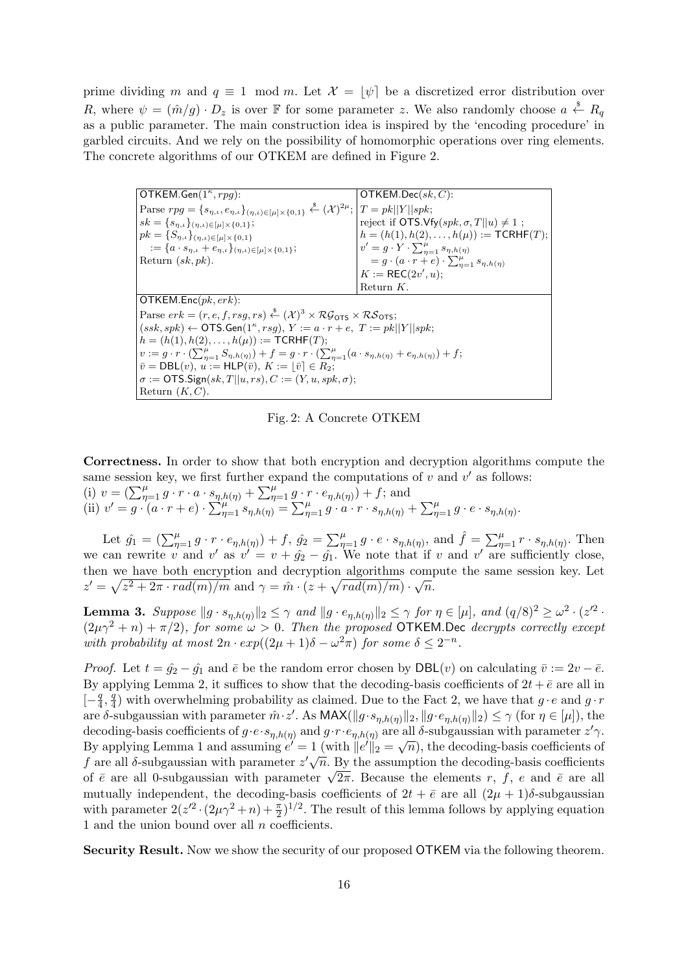prime dividing m and  $q \equiv 1 \mod m$ . Let  $\mathcal{X} = |\psi|$  be a discretized error distribution over R, where  $\psi = (\hat{m}/g) \cdot D_z$  is over F for some parameter z. We also randomly choose  $a \stackrel{\$}{\leftarrow} R_q$ as a public parameter. The main construction idea is inspired by the 'encoding procedure' in garbled circuits. And we rely on the possibility of homomorphic operations over ring elements. The concrete algorithms of our OTKEM are defined in Figure 2.

| OTKEM.Gen $(1^{\kappa}, rpg)$ :                                                                                                                                                  | $OTKEM.Dec(\mathfrak{sk}, C)$ :                               |  |  |  |
|----------------------------------------------------------------------------------------------------------------------------------------------------------------------------------|---------------------------------------------------------------|--|--|--|
| Parse $rpg = \{s_{\eta,\iota}, e_{\eta,\iota}\}_{(\eta,\iota) \in [\mu] \times \{0,1\}} \stackrel{\hspace{0.1em}\mathcal{S}}{\leftarrow} (\mathcal{X})^{2\mu};  T = pk  Y  spk;$ |                                                               |  |  |  |
| $sk = \{s_{\eta,\iota}\}_{(\eta,\iota) \in [\mu] \times \{0,1\}};$                                                                                                               | reject if OTS.Vfy $(spk, \sigma, T  u) \neq 1$ ;              |  |  |  |
| $pk = \{S_{\eta,\iota}\}_{(\eta,\iota) \in [\mu] \times \{0,1\}}$                                                                                                                | $h = (h(1), h(2), \ldots, h(\mu)) := \textsf{TCRHF}(T);$      |  |  |  |
| $:= \{a \cdot s_{n,\iota} + e_{n,\iota}\}_{(n,\iota) \in [\mu] \times \{0,1\}};$                                                                                                 | $v' = g \cdot Y \cdot \sum_{n=1}^{\mu} s_{\eta, h(\eta)}$     |  |  |  |
| Return $(sk, pk)$ .                                                                                                                                                              | $= g \cdot (a \cdot r + e) \cdot \sum_{n=1}^{\mu} s_{n,h(n)}$ |  |  |  |
|                                                                                                                                                                                  | $K := \mathsf{REC}(2v', u);$                                  |  |  |  |
|                                                                                                                                                                                  | Return $K$ .                                                  |  |  |  |
| OTKEM.Enc $(pk,erk)$ :                                                                                                                                                           |                                                               |  |  |  |
| Parse $erk = (r, e, f, rg, rs) \stackrel{\$}{\leftarrow} (\mathcal{X})^3 \times \mathcal{RG}_{OTS} \times \mathcal{RS}_{OTS};$                                                   |                                                               |  |  |  |
| $(ssk, spk) \leftarrow$ OTS.Gen $(1^{\kappa}, rsg), Y := a \cdot r + e, T := pk  Y  spk;$                                                                                        |                                                               |  |  |  |
| $h = (h(1), h(2), \ldots, h(\mu)) := \textsf{TCRHF}(T);$                                                                                                                         |                                                               |  |  |  |
| $v := g \cdot r \cdot (\sum_{n=1}^{\mu} S_{\eta, h(\eta)}) + f = g \cdot r \cdot (\sum_{n=1}^{\mu} (a \cdot s_{\eta, h(\eta)} + e_{\eta, h(\eta)}) + f;$                         |                                                               |  |  |  |
| $\overline{v} = \mathsf{DBL}(v), u := \mathsf{HLP}(\overline{v}), K :=  \overline{v}  \in R_2;$                                                                                  |                                                               |  |  |  |
| $\sigma := \text{OTS}.$ Sign $(sk, T    u, rs), C := (Y, u, spk, \sigma);$                                                                                                       |                                                               |  |  |  |
| Return $(K, C)$ .                                                                                                                                                                |                                                               |  |  |  |

Fig. 2: A Concrete OTKEM

Correctness. In order to show that both encryption and decryption algorithms compute the same session key, we first further expand the computations of  $v$  and  $v'$  as follows:

(i)  $v = \left(\sum_{\eta=1}^{\mu} g \cdot r \cdot a \cdot s_{\eta,h(\eta)} + \sum_{\eta=1}^{\mu} g \cdot r \cdot e_{\eta,h(\eta)}\right) + f$ ; and (ii)  $v' = g \cdot (a \cdot r + e) \cdot \sum_{\eta=1}^{\mu} s_{\eta,h(\eta)} = \sum_{\eta=1}^{\mu} g \cdot a \cdot r \cdot s_{\eta,h(\eta)} + \sum_{\eta=1}^{\mu} g \cdot e \cdot s_{\eta,h(\eta)}$ .

Let  $\hat{g}_1 = \left(\sum_{\eta=1}^{\mu} g \cdot r \cdot e_{\eta,h(\eta)}\right) + f$ ,  $\hat{g}_2 = \sum_{\eta=1}^{\mu} g \cdot e \cdot s_{\eta,h(\eta)}$ , and  $\hat{f} = \sum_{\eta=1}^{\mu} r \cdot s_{\eta,h(\eta)}$ . Then we can rewrite v and v' as  $v' = v + \hat{g}_2 - \hat{g}_1$ . We note that if v and v' are sufficiently close, then we have both encryption and decryption algorithms compute the same session key. Let then we have both encryption and decryption algorithms comp<br>  $z' = \sqrt{z^2 + 2\pi \cdot rad(m)/m}$  and  $\gamma = \hat{m} \cdot (z + \sqrt{rad(m)/m}) \cdot \sqrt{n}$ .

**Lemma 3.** Suppose  $||g \cdot s_{\eta,h(\eta)}||_2 \leq \gamma$  and  $||g \cdot e_{\eta,h(\eta)}||_2 \leq \gamma$  for  $\eta \in [\mu]$ , and  $(q/8)^2 \geq \omega^2 \cdot (z^{2 \cdot 2})$  $(2\mu\gamma^2 + n) + \pi/2$ , for some  $\omega > 0$ . Then the proposed OTKEM.Dec decrypts correctly except with probability at most  $2n \cdot exp((2\mu+1)\delta - \omega^2 \pi)$  for some  $\delta \leq 2^{-n}$ .

*Proof.* Let  $t = \hat{g}_2 - \hat{g}_1$  and  $\bar{e}$  be the random error chosen by DBL(v) on calculating  $\bar{v} := 2v - \bar{e}$ . By applying Lemma 2, it suffices to show that the decoding-basis coefficients of  $2t + \bar{e}$  are all in  $\left[-\frac{q}{4}\right]$  $\frac{q}{4}, \frac{q}{4}$  $\frac{q}{4}$ ) with overwhelming probability as claimed. Due to the Fact 2, we have that  $g \cdot e$  and  $g \cdot r$ are δ-subgaussian with parameter  $\hat{m} \cdot z'$ . As  $\mathsf{MAX}(\|g \cdot s_{\eta,h(\eta)}\|_2, \|g \cdot e_{\eta,h(\eta)}\|_2) \leq \gamma$  (for  $\eta \in [\mu]$ ), the decoding-basis coefficients of  $g \cdot e \cdot s_{\eta,h(\eta)}$  and  $g \cdot r \cdot e_{\eta,h(\eta)}$  are all δ-subgaussian with parameter  $z'\gamma$ . decoding-basis coefficients of  $g \cdot e \cdot s_{\eta,h(\eta)}$  and  $g \cdot r \cdot e_{\eta,h(\eta)}$  are an o-subgaussian with parameter  $z \gamma$ .<br>By applying Lemma 1 and assuming  $e' = 1$  (with  $||e'||_2 = \sqrt{n}$ ), the decoding-basis coefficients of f are all  $\delta$ -subgaussian with parameter  $z'\sqrt{n}$ . By the assumption the decoding-basis coefficients *f* are all 0-subgaussian with parameter  $z \sqrt{n}$ . By the assumption the decoding-basis coefficients of  $\bar{e}$  are all 0-subgaussian with parameter  $\sqrt{2\pi}$ . Because the elements r, f, e and  $\bar{e}$  are all mutually independent, the decoding-basis coefficients of  $2t + \bar{e}$  are all  $(2\mu + 1)\delta$ -subgaussian with parameter  $2(z'^2 \cdot (2\mu \gamma^2 + n) + \frac{\pi}{2})^{1/2}$ . The result of this lemma follows by applying equation 1 and the union bound over all  $n$  coefficients.

Security Result. Now we show the security of our proposed OTKEM via the following theorem.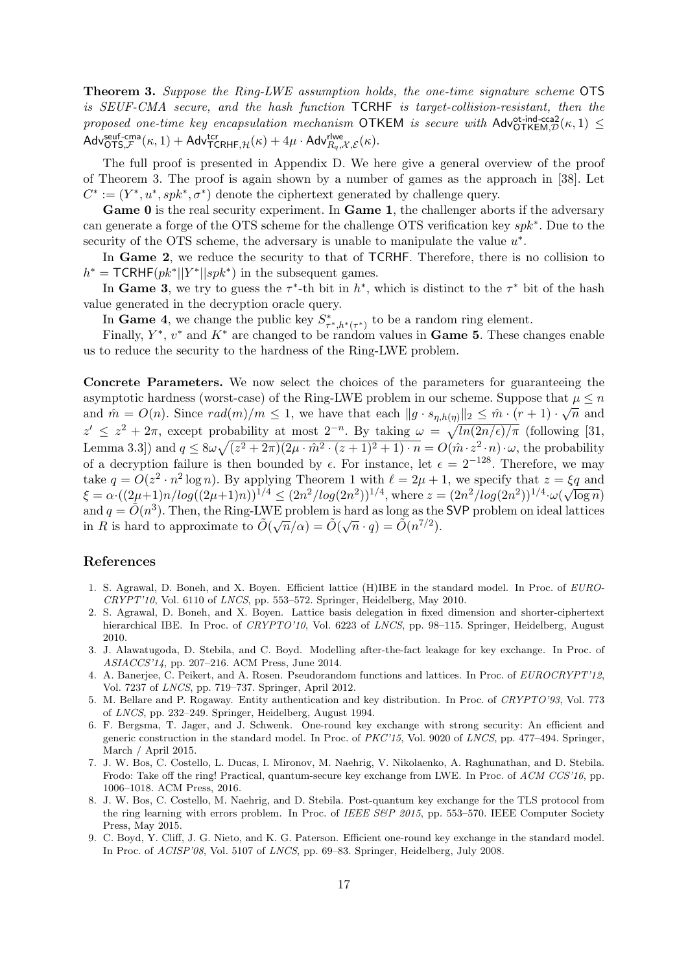Theorem 3. Suppose the Ring-LWE assumption holds, the one-time signature scheme OTS is SEUF-CMA secure, and the hash function TCRHF is target-collision-resistant, then the proposed one-time key encapsulation mechanism OTKEM is secure with  $\mathsf{Adv}^{\text{ot-ind-cca2}}_{\mathsf{OTKEM},\mathcal{D}}(\kappa,1)$  $\mathsf{Adv}_{\mathsf{OTS},\mathcal{F}}^{\mathsf{seuf-cma}}(\kappa,1)+\mathsf{Adv}_{\mathsf{TCRHF},\mathcal{H}}^{\mathsf{ctr}}(\kappa)+4\mu\cdot \mathsf{Adv}_{R_q,\mathcal{X},\mathcal{E}}^{\mathsf{rlwe}}(\kappa).$ 

The full proof is presented in Appendix D. We here give a general overview of the proof of Theorem 3. The proof is again shown by a number of games as the approach in [38]. Let  $C^* := (Y^*, u^*, spk^*, \sigma^*)$  denote the ciphertext generated by challenge query.

Game 0 is the real security experiment. In Game 1, the challenger aborts if the adversary can generate a forge of the OTS scheme for the challenge OTS verification key spk<sup>∗</sup>. Due to the security of the OTS scheme, the adversary is unable to manipulate the value  $u^*$ .

In Game 2, we reduce the security to that of TCRHF. Therefore, there is no collision to  $h^* = \textsf{TCRHF}(pk^*||Y^*||spk^*)$  in the subsequent games.

In Game 3, we try to guess the  $\tau^*$ -th bit in  $h^*$ , which is distinct to the  $\tau^*$  bit of the hash value generated in the decryption oracle query.

In Game 4, we change the public key  $S^*_{\tau^*,h^*(\tau^*)}$  to be a random ring element.

Finally,  $Y^*$ ,  $v^*$  and  $K^*$  are changed to be random values in **Game 5**. These changes enable us to reduce the security to the hardness of the Ring-LWE problem.

Concrete Parameters. We now select the choices of the parameters for guaranteeing the asymptotic hardness (worst-case) of the Ring-LWE problem in our scheme. Suppose that  $\mu \leq n$ and  $\hat{m} = O(n)$ . Since  $rad(m)/m \le 1$ , we have that each  $||g \cdot s_{\eta,h(\eta)}||_2 \le \hat{m} \cdot (r+1) \cdot \sqrt{n}$  and  $z' \leq z^2 + 2\pi$ , except probability at most  $2^{-n}$ . By taking  $\omega = \sqrt{\ln(2n/\epsilon)/\pi}$  (following [31, Lemma 3.3) and  $q \leq 8\omega\sqrt{(z^2+2\pi)(2\mu\cdot\hat{m}^2\cdot(z+1)^2+1)\cdot n} = O(\hat{m}\cdot z^2\cdot n)\cdot\omega$ , the probability of a decryption failure is then bounded by  $\epsilon$ . For instance, let  $\epsilon = 2^{-128}$ . Therefore, we may take  $q = O(z^2 \cdot n^2 \log n)$ . By applying Theorem 1 with  $\ell = 2\mu + 1$ , we specify that  $z = \xi q$  and  $\xi = \alpha \cdot ((2\mu+1)n/log((2\mu+1)n))^{1/4} \leq (2n^2/log(2n^2))^{1/4}$ , where  $z = (2n^2/log(2n^2))^{1/4} \cdot \omega(\sqrt{\log n})$ and  $q = \tilde{O}(n^3)$ . Then, the Ring-LWE problem is hard as long as the SVP problem on ideal lattices and  $q = O(n)$ . Then, the rung-LWE problem is hard as long as the<br>in R is hard to approximate to  $\tilde{O}(\sqrt{n}/\alpha) = \tilde{O}(\sqrt{n} \cdot q) = \tilde{O}(n^{7/2})$ .

## References

- 1. S. Agrawal, D. Boneh, and X. Boyen. Efficient lattice (H)IBE in the standard model. In Proc. of EURO- $CRYPT'10$ , Vol. 6110 of *LNCS*, pp. 553–572. Springer, Heidelberg, May 2010.
- 2. S. Agrawal, D. Boneh, and X. Boyen. Lattice basis delegation in fixed dimension and shorter-ciphertext hierarchical IBE. In Proc. of CRYPTO'10, Vol. 6223 of LNCS, pp. 98–115. Springer, Heidelberg, August 2010.
- 3. J. Alawatugoda, D. Stebila, and C. Boyd. Modelling after-the-fact leakage for key exchange. In Proc. of ASIACCS'14, pp. 207–216. ACM Press, June 2014.
- 4. A. Banerjee, C. Peikert, and A. Rosen. Pseudorandom functions and lattices. In Proc. of EUROCRYPT'12, Vol. 7237 of LNCS, pp. 719–737. Springer, April 2012.
- 5. M. Bellare and P. Rogaway. Entity authentication and key distribution. In Proc. of CRYPTO'93, Vol. 773 of LNCS, pp. 232–249. Springer, Heidelberg, August 1994.
- 6. F. Bergsma, T. Jager, and J. Schwenk. One-round key exchange with strong security: An efficient and generic construction in the standard model. In Proc. of PKC'15, Vol. 9020 of LNCS, pp. 477–494. Springer, March / April 2015.
- 7. J. W. Bos, C. Costello, L. Ducas, I. Mironov, M. Naehrig, V. Nikolaenko, A. Raghunathan, and D. Stebila. Frodo: Take off the ring! Practical, quantum-secure key exchange from LWE. In Proc. of ACM CCS'16, pp. 1006–1018. ACM Press, 2016.
- 8. J. W. Bos, C. Costello, M. Naehrig, and D. Stebila. Post-quantum key exchange for the TLS protocol from the ring learning with errors problem. In Proc. of IEEE S&P 2015, pp. 553-570. IEEE Computer Society Press, May 2015.
- 9. C. Boyd, Y. Cliff, J. G. Nieto, and K. G. Paterson. Efficient one-round key exchange in the standard model. In Proc. of ACISP'08, Vol. 5107 of LNCS, pp. 69–83. Springer, Heidelberg, July 2008.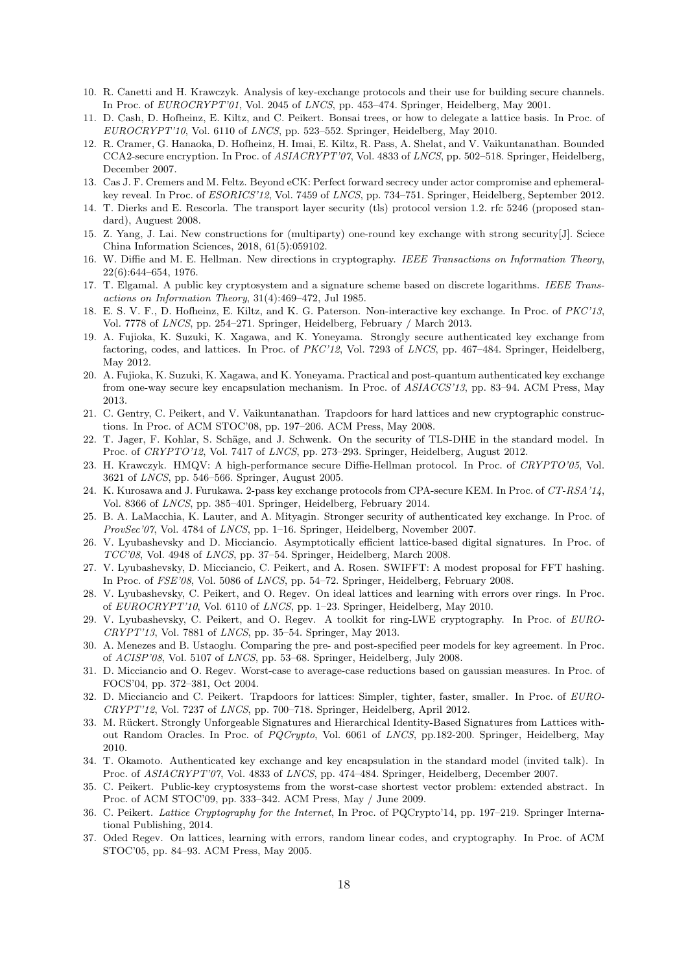- 10. R. Canetti and H. Krawczyk. Analysis of key-exchange protocols and their use for building secure channels. In Proc. of EUROCRYPT'01, Vol. 2045 of LNCS, pp. 453–474. Springer, Heidelberg, May 2001.
- 11. D. Cash, D. Hofheinz, E. Kiltz, and C. Peikert. Bonsai trees, or how to delegate a lattice basis. In Proc. of EUROCRYPT'10, Vol. 6110 of LNCS, pp. 523–552. Springer, Heidelberg, May 2010.
- 12. R. Cramer, G. Hanaoka, D. Hofheinz, H. Imai, E. Kiltz, R. Pass, A. Shelat, and V. Vaikuntanathan. Bounded CCA2-secure encryption. In Proc. of ASIACRYPT'07, Vol. 4833 of LNCS, pp. 502–518. Springer, Heidelberg, December 2007.
- 13. Cas J. F. Cremers and M. Feltz. Beyond eCK: Perfect forward secrecy under actor compromise and ephemeralkey reveal. In Proc. of ESORICS'12, Vol. 7459 of LNCS, pp. 734–751. Springer, Heidelberg, September 2012.
- 14. T. Dierks and E. Rescorla. The transport layer security (tls) protocol version 1.2. rfc 5246 (proposed standard), Auguest 2008.
- 15. Z. Yang, J. Lai. New constructions for (multiparty) one-round key exchange with strong security[J]. Sciece China Information Sciences, 2018, 61(5):059102.
- 16. W. Diffie and M. E. Hellman. New directions in cryptography. IEEE Transactions on Information Theory, 22(6):644–654, 1976.
- 17. T. Elgamal. A public key cryptosystem and a signature scheme based on discrete logarithms. IEEE Transactions on Information Theory, 31(4):469–472, Jul 1985.
- 18. E. S. V. F., D. Hofheinz, E. Kiltz, and K. G. Paterson. Non-interactive key exchange. In Proc. of PKC'13, Vol. 7778 of LNCS, pp. 254–271. Springer, Heidelberg, February / March 2013.
- 19. A. Fujioka, K. Suzuki, K. Xagawa, and K. Yoneyama. Strongly secure authenticated key exchange from factoring, codes, and lattices. In Proc. of PKC'12, Vol. 7293 of LNCS, pp. 467–484. Springer, Heidelberg, May 2012.
- 20. A. Fujioka, K. Suzuki, K. Xagawa, and K. Yoneyama. Practical and post-quantum authenticated key exchange from one-way secure key encapsulation mechanism. In Proc. of ASIACCS'13, pp. 83–94. ACM Press, May 2013.
- 21. C. Gentry, C. Peikert, and V. Vaikuntanathan. Trapdoors for hard lattices and new cryptographic constructions. In Proc. of ACM STOC'08, pp. 197–206. ACM Press, May 2008.
- 22. T. Jager, F. Kohlar, S. Schäge, and J. Schwenk. On the security of TLS-DHE in the standard model. In Proc. of CRYPTO'12, Vol. 7417 of LNCS, pp. 273-293. Springer, Heidelberg, August 2012.
- 23. H. Krawczyk. HMQV: A high-performance secure Diffie-Hellman protocol. In Proc. of CRYPTO'05, Vol. 3621 of LNCS, pp. 546–566. Springer, August 2005.
- 24. K. Kurosawa and J. Furukawa. 2-pass key exchange protocols from CPA-secure KEM. In Proc. of CT-RSA'14, Vol. 8366 of LNCS, pp. 385–401. Springer, Heidelberg, February 2014.
- 25. B. A. LaMacchia, K. Lauter, and A. Mityagin. Stronger security of authenticated key exchange. In Proc. of ProvSec'07, Vol. 4784 of LNCS, pp. 1–16. Springer, Heidelberg, November 2007.
- 26. V. Lyubashevsky and D. Micciancio. Asymptotically efficient lattice-based digital signatures. In Proc. of TCC'08, Vol. 4948 of LNCS, pp. 37–54. Springer, Heidelberg, March 2008.
- 27. V. Lyubashevsky, D. Micciancio, C. Peikert, and A. Rosen. SWIFFT: A modest proposal for FFT hashing. In Proc. of FSE'08, Vol. 5086 of LNCS, pp. 54–72. Springer, Heidelberg, February 2008.
- 28. V. Lyubashevsky, C. Peikert, and O. Regev. On ideal lattices and learning with errors over rings. In Proc. of EUROCRYPT'10, Vol. 6110 of LNCS, pp. 1–23. Springer, Heidelberg, May 2010.
- 29. V. Lyubashevsky, C. Peikert, and O. Regev. A toolkit for ring-LWE cryptography. In Proc. of EURO-CRYPT'13, Vol. 7881 of LNCS, pp. 35–54. Springer, May 2013.
- 30. A. Menezes and B. Ustaoglu. Comparing the pre- and post-specified peer models for key agreement. In Proc. of ACISP'08, Vol. 5107 of LNCS, pp. 53–68. Springer, Heidelberg, July 2008.
- 31. D. Micciancio and O. Regev. Worst-case to average-case reductions based on gaussian measures. In Proc. of FOCS'04, pp. 372–381, Oct 2004.
- 32. D. Micciancio and C. Peikert. Trapdoors for lattices: Simpler, tighter, faster, smaller. In Proc. of EURO-CRYPT'12, Vol. 7237 of LNCS, pp. 700–718. Springer, Heidelberg, April 2012.
- 33. M. Rückert. Strongly Unforgeable Signatures and Hierarchical Identity-Based Signatures from Lattices without Random Oracles. In Proc. of PQCrypto, Vol. 6061 of LNCS, pp.182-200. Springer, Heidelberg, May 2010.
- 34. T. Okamoto. Authenticated key exchange and key encapsulation in the standard model (invited talk). In Proc. of ASIACRYPT'07, Vol. 4833 of LNCS, pp. 474–484. Springer, Heidelberg, December 2007.
- 35. C. Peikert. Public-key cryptosystems from the worst-case shortest vector problem: extended abstract. In Proc. of ACM STOC'09, pp. 333–342. ACM Press, May / June 2009.
- 36. C. Peikert. Lattice Cryptography for the Internet, In Proc. of PQCrypto'14, pp. 197–219. Springer International Publishing, 2014.
- 37. Oded Regev. On lattices, learning with errors, random linear codes, and cryptography. In Proc. of ACM STOC'05, pp. 84–93. ACM Press, May 2005.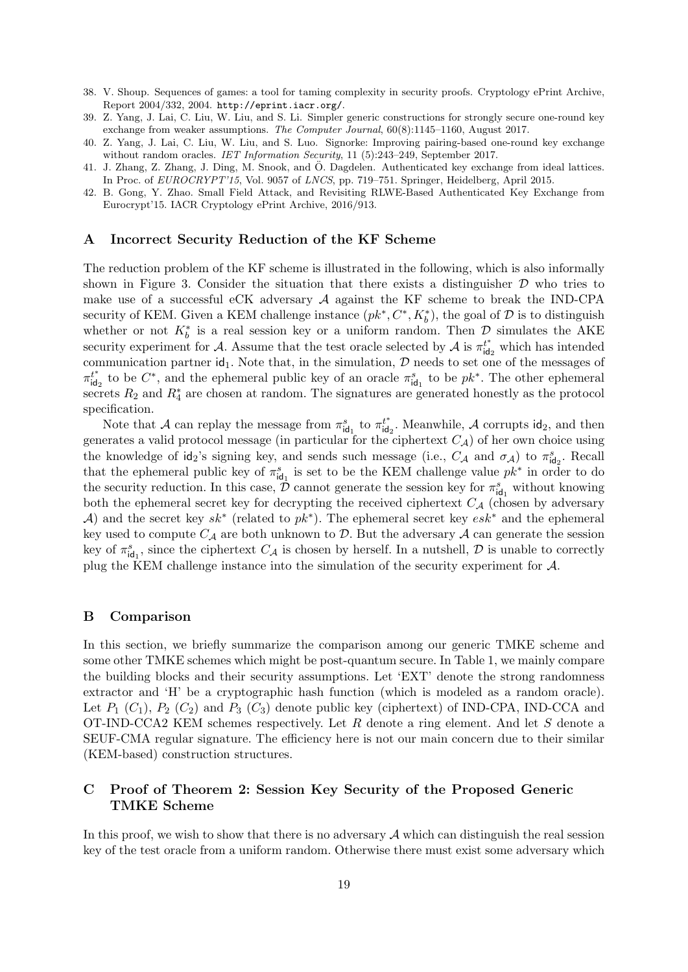- 38. V. Shoup. Sequences of games: a tool for taming complexity in security proofs. Cryptology ePrint Archive, Report 2004/332, 2004. http://eprint.iacr.org/.
- 39. Z. Yang, J. Lai, C. Liu, W. Liu, and S. Li. Simpler generic constructions for strongly secure one-round key exchange from weaker assumptions. The Computer Journal, 60(8):1145–1160, August 2017.
- 40. Z. Yang, J. Lai, C. Liu, W. Liu, and S. Luo. Signorke: Improving pairing-based one-round key exchange without random oracles. IET Information Security, 11 (5):243-249, September 2017.
- 41. J. Zhang, Z. Zhang, J. Ding, M. Snook, and O. Dagdelen. Authenticated key exchange from ideal lattices. ¨ In Proc. of EUROCRYPT'15, Vol. 9057 of LNCS, pp. 719–751. Springer, Heidelberg, April 2015.
- 42. B. Gong, Y. Zhao. Small Field Attack, and Revisiting RLWE-Based Authenticated Key Exchange from Eurocrypt'15. IACR Cryptology ePrint Archive, 2016/913.

## A Incorrect Security Reduction of the KF Scheme

The reduction problem of the KF scheme is illustrated in the following, which is also informally shown in Figure 3. Consider the situation that there exists a distinguisher  $D$  who tries to make use of a successful eCK adversary  $A$  against the KF scheme to break the IND-CPA security of KEM. Given a KEM challenge instance  $(pk^*, C^*, K_b^*)$ , the goal of  $D$  is to distinguish whether or not  $K_b^*$  is a real session key or a uniform random. Then  $\mathcal{D}$  simulates the AKE security experiment for A. Assume that the test oracle selected by A is  $\pi_{id}^{t^*}$  $t_{\mathsf{id}_2}^t$  which has intended communication partner  $id_1$ . Note that, in the simulation,  $D$  needs to set one of the messages of  $\pi_{\mathsf{id}}^{t^*}$  $t^*_{\mathsf{id}_2}$  to be  $C^*$ , and the ephemeral public key of an oracle  $\pi_{\mathsf{id}_1}^s$  to be  $pk^*$ . The other ephemeral secrets  $R_2$  and  $R_4^*$  are chosen at random. The signatures are generated honestly as the protocol specification.

Note that A can replay the message from  $\pi_{\mathsf{id}_1}^s$  to  $\pi_{\mathsf{id}}^{t^*}$  $t^*_{\mathsf{id}_2}$ . Meanwhile, A corrupts  $\mathsf{id}_2$ , and then generates a valid protocol message (in particular for the ciphertext  $C_A$ ) of her own choice using the knowledge of  $\mathsf{id}_2$ 's signing key, and sends such message (i.e.,  $C_A$  and  $\sigma_A$ ) to  $\pi^s_{\mathsf{id}_2}$ . Recall that the ephemeral public key of  $\pi_{\text{id}_1}^s$  is set to be the KEM challenge value  $pk^*$  in order to do the security reduction. In this case,  $\hat{\mathcal{D}}$  cannot generate the session key for  $\pi_{\text{id}_1}^s$  without knowing both the ephemeral secret key for decrypting the received ciphertext  $C_A$  (chosen by adversary A) and the secret key  $sk^*$  (related to  $pk^*$ ). The ephemeral secret key  $esk^*$  and the ephemeral key used to compute  $C_A$  are both unknown to  $D$ . But the adversary  $A$  can generate the session key of  $\pi_{\text{id}_1}^s$ , since the ciphertext  $C_{\mathcal{A}}$  is chosen by herself. In a nutshell,  $\mathcal D$  is unable to correctly plug the KEM challenge instance into the simulation of the security experiment for A.

#### B Comparison

In this section, we briefly summarize the comparison among our generic TMKE scheme and some other TMKE schemes which might be post-quantum secure. In Table 1, we mainly compare the building blocks and their security assumptions. Let 'EXT' denote the strong randomness extractor and 'H' be a cryptographic hash function (which is modeled as a random oracle). Let  $P_1$   $(C_1)$ ,  $P_2$   $(C_2)$  and  $P_3$   $(C_3)$  denote public key (ciphertext) of IND-CPA, IND-CCA and OT-IND-CCA2 KEM schemes respectively. Let  $R$  denote a ring element. And let  $S$  denote a SEUF-CMA regular signature. The efficiency here is not our main concern due to their similar (KEM-based) construction structures.

# C Proof of Theorem 2: Session Key Security of the Proposed Generic TMKE Scheme

In this proof, we wish to show that there is no adversary  $A$  which can distinguish the real session key of the test oracle from a uniform random. Otherwise there must exist some adversary which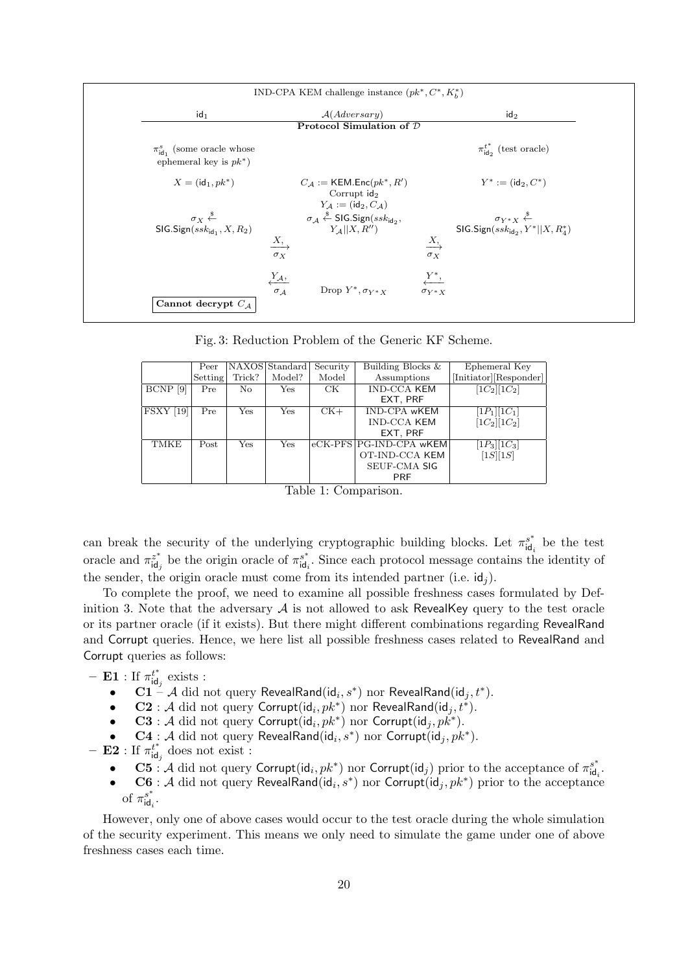| IND-CPA KEM challenge instance $(pk^*, C^*, K_h^*)$                                          |                                                                                                                                                             |                                                                                                                                                                             |  |  |  |  |  |  |  |  |
|----------------------------------------------------------------------------------------------|-------------------------------------------------------------------------------------------------------------------------------------------------------------|-----------------------------------------------------------------------------------------------------------------------------------------------------------------------------|--|--|--|--|--|--|--|--|
| $id_1$                                                                                       | A(Aduersary)                                                                                                                                                | $\mathsf{id}_2$                                                                                                                                                             |  |  |  |  |  |  |  |  |
| Protocol Simulation of $D$                                                                   |                                                                                                                                                             |                                                                                                                                                                             |  |  |  |  |  |  |  |  |
| $\pi_{\text{id}_1}^s$ (some oracle whose<br>ephemeral key is $pk^*$ )                        |                                                                                                                                                             | $\pi_{\text{ido}}^{t^*}$ (test oracle)                                                                                                                                      |  |  |  |  |  |  |  |  |
| $X = (id_1, pk^*)$                                                                           | $C_{\mathcal{A}} := \mathsf{KEM}.\mathsf{Enc}(pk^*,R')$<br>Corrupt $\mathsf{id}_2$<br>$Y_{\mathcal{A}}:=(\mathsf{id}_2,C_{\mathcal{A}})$                    | $Y^* := (\text{id}_2, C^*)$                                                                                                                                                 |  |  |  |  |  |  |  |  |
| $\sigma_X \stackrel{\$}{\leftarrow}$<br>$\mathsf{SIG}.{\sf Sign}(ssk_{\mathsf{id}_1},X,R_2)$ | $\sigma_{\mathcal{A}} \stackrel{\$}{\leftarrow}$ SIG.Sign(ssk <sub>id2</sub> ,<br>$Y_{\mathcal{A}}  X,R^{\prime\prime})$<br>$\xrightarrow{X}$<br>$\sigma_X$ | $\sigma_{Y^*X} \stackrel{\hspace{0.1em}\mathsf{\scriptscriptstyle\$}}{\leftarrow}$<br>SIG.Sign(sskid <sub>2</sub> , $Y^*$   X, $R_4^*$ )<br>$\xrightarrow{X}$<br>$\sigma_X$ |  |  |  |  |  |  |  |  |
| Cannot decrypt $C_A$                                                                         | $\frac{Y_{\mathcal{A}},}{\sigma_{\mathcal{A}}}$<br>Drop $Y^*, \sigma_{Y^*X}$                                                                                | $Y^*$ ,<br>$\sigma_{Y^*X}$                                                                                                                                                  |  |  |  |  |  |  |  |  |

Fig. 3: Reduction Problem of the Generic KF Scheme.

|                  | Peer                 |                      | NAXOS Standard | Security | Building Blocks &       | Ephemeral Key          |
|------------------|----------------------|----------------------|----------------|----------|-------------------------|------------------------|
|                  | Setting <sup>1</sup> | Trick?               | Model?         | Model    | Assumptions             | [Initiator][Responder] |
| BCNP [9]         | Pre                  | No.                  | <b>Yes</b>     | CK.      | <b>IND-CCA KEM</b>      | $[1C_2][1C_2]$         |
|                  |                      |                      |                |          | EXT, PRF                |                        |
| <b>FSXY</b> [19] | Pre                  | $\operatorname{Yes}$ | Yes            | $CK+$    | <b>IND-CPA wKEM</b>     | $[1P_1][1C_1]$         |
|                  |                      |                      |                |          | <b>IND-CCA KEM</b>      | $[1C_2][1C_2]$         |
|                  |                      |                      |                |          | EXT, PRF                |                        |
| <b>TMKE</b>      | Post                 | <b>Yes</b>           | Yes            |          | eCK-PFS PG-IND-CPA wKEM | $[1P_3][1C_3]$         |
|                  |                      |                      |                |          | OT-IND-CCA KEM          | $[1S][1S]$             |
|                  |                      |                      |                |          | <b>SEUF-CMA SIG</b>     |                        |
|                  |                      |                      |                |          | <b>PRF</b>              |                        |



can break the security of the underlying cryptographic building blocks. Let  $\pi_{id}^{s^*}$  $\mathbf{a}^{s^*}_{\mathbf{d}_i}$  be the test oracle and  $\pi_{\text{id}}^{z^*}$  $z^*_{\mathsf{id}_j}$  be the origin oracle of  $\pi_{\mathsf{id}_i}^{s^*}$  $\int_{\mathbf{d}_i}^{s^*}$ . Since each protocol message contains the identity of the sender, the origin oracle must come from its intended partner (i.e.  $id_i$ ).

To complete the proof, we need to examine all possible freshness cases formulated by Definition 3. Note that the adversary  $\mathcal A$  is not allowed to ask RevealKey query to the test oracle or its partner oracle (if it exists). But there might different combinations regarding RevealRand and Corrupt queries. Hence, we here list all possible freshness cases related to RevealRand and Corrupt queries as follows:

- **E1** : If 
$$
\pi_{\text{id}_f}^{t^*}
$$
 exists :

- C1 A did not query RevealRand(id $_i, s^*$ ) nor RevealRand(id $_j, t^*$ ).
- $\bullet$   $\quad \mathbf C\mathbf 2 : \mathcal A \text{ did not query Corrupt}(\mathsf{id}_i, \mathbb{pk}^*) \text{ nor RevealRand}(\mathsf{id}_j, t^*).$
- C3 : A did not query Corrupt( $\mathsf{id}_i, pk^*$ ) nor Corrupt( $\mathsf{id}_j, pk^*$ ).
- $\mathbf{C4} : \mathcal{A}$  did not query RevealRand $(\mathsf{id}_i, s^*)$  nor  $\mathsf{Corrupt}(\mathsf{id}_j, pk^*)$ .
- $-$  E2 : If  $\pi_{\text{id}}^{t^*}$  $\int_{\mathsf{id}_j}^{t^*}$  does not exist :
	- C5 : A did not query Corrupt( $\mathrm{id}_i, pk^*$ ) nor Corrupt( $\mathrm{id}_j$ ) prior to the acceptance of  $\pi_{\mathrm{id}}^{s^*}$  $\frac{s^*}{\mathsf{id}_i}$ .
	- C6 : A did not query RevealRand( $id_i, s^*$ ) nor Corrupt( $id_j, pk^*$ ) prior to the acceptance of  $\pi_{\mathsf{id}}^{s^*}$  $\frac{s^*}{\mathsf{id}_i}$  .

However, only one of above cases would occur to the test oracle during the whole simulation of the security experiment. This means we only need to simulate the game under one of above freshness cases each time.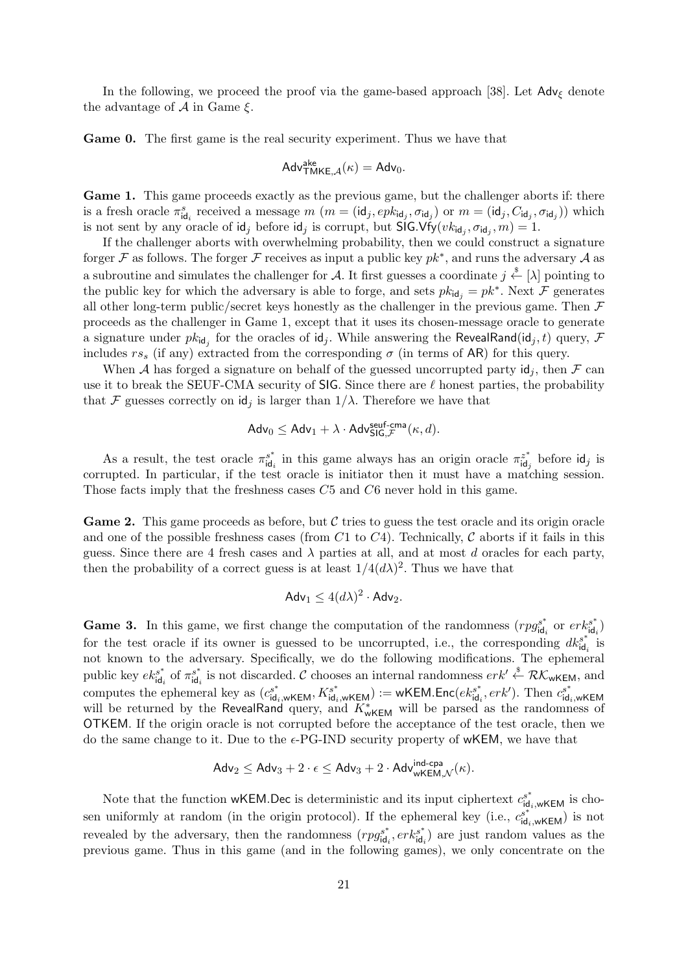In the following, we proceed the proof via the game-based approach [38]. Let  $\mathsf{Adv}_{\xi}$  denote the advantage of  $A$  in Game  $\xi$ .

Game 0. The first game is the real security experiment. Thus we have that

$$
\mathsf{Adv}^{\mathsf{ake}}_{\mathsf{TMKE},\mathcal{A}}(\kappa) = \mathsf{Adv}_0.
$$

Game 1. This game proceeds exactly as the previous game, but the challenger aborts if: there is a fresh oracle  $\pi_{\text{id}_i}^s$  received a message  $m$   $(m = (\text{id}_j, epk_{\text{id}_j}, \sigma_{\text{id}_j})$  or  $m = (\text{id}_j, C_{\text{id}_j}, \sigma_{\text{id}_j}))$  which is not sent by any oracle of  $\mathsf{id}_j$  before  $\mathsf{id}_j$  is corrupt, but  $\mathsf{SIG.Vfy}(vk_{\mathsf{id}_j}, \sigma_{\mathsf{id}_j}, m) = 1$ .

If the challenger aborts with overwhelming probability, then we could construct a signature forger F as follows. The forger F receives as input a public key  $pk^*$ , and runs the adversary A as a subroutine and simulates the challenger for A. It first guesses a coordinate  $j \stackrel{\$}{\leftarrow} [\lambda]$  pointing to the public key for which the adversary is able to forge, and sets  $pk_{id_j} = pk^*$ . Next  $\mathcal F$  generates all other long-term public/secret keys honestly as the challenger in the previous game. Then  $\mathcal F$ proceeds as the challenger in Game 1, except that it uses its chosen-message oracle to generate a signature under  $pk_{\mathsf{id}_j}$  for the oracles of  $\mathsf{id}_j$ . While answering the RevealRand( $\mathsf{id}_j, t$ ) query,  $\mathcal F$ includes  $rs<sub>s</sub>$  (if any) extracted from the corresponding  $\sigma$  (in terms of AR) for this query.

When A has forged a signature on behalf of the guessed uncorrupted party  $\mathsf{id}_j$ , then F can use it to break the SEUF-CMA security of SIG. Since there are  $\ell$  honest parties, the probability that F guesses correctly on  $\mathsf{id}_i$  is larger than  $1/\lambda$ . Therefore we have that

$$
\mathsf{Adv}_0 \leq \mathsf{Adv}_1 + \lambda \cdot \mathsf{Adv}^{\mathsf{seuf-cma}}_{\mathsf{SIG},\mathcal{F}}(\kappa,d).
$$

As a result, the test oracle  $\pi_{\text{id}}^{s^*}$  $s^*_{\mathsf{id}_i}$  in this game always has an origin oracle  $\pi_{\mathsf{id}_i}^{z^*}$  $\ddot{i}_{\mathsf{d}_j}^{\mathsf{z}^*}$  before  $\mathsf{id}_j$  is corrupted. In particular, if the test oracle is initiator then it must have a matching session. Those facts imply that the freshness cases C5 and C6 never hold in this game.

**Game 2.** This game proceeds as before, but  $\mathcal C$  tries to guess the test oracle and its origin oracle and one of the possible freshness cases (from  $C1$  to  $C4$ ). Technically, C aborts if it fails in this guess. Since there are 4 fresh cases and  $\lambda$  parties at all, and at most d oracles for each party, then the probability of a correct guess is at least  $1/4(d\lambda)^2$ . Thus we have that

$$
Adv_1 \le 4(d\lambda)^2 \cdot Adv_2.
$$

**Game 3.** In this game, we first change the computation of the randomness  $(rg_{id}^{s^*})$  $s_{\mathsf{id}_i}^{s^*}$  or  $\mathit{erk}_{\mathsf{id}_i}^{s^*}$  $\binom{s^*}{\mathsf{id}_i}$ for the test oracle if its owner is guessed to be uncorrupted, i.e., the corresponding  $dk_{id}^{s^*}$  $\int_{i}^{s^*}$  is not known to the adversary. Specifically, we do the following modifications. The ephemeral public key  $ek_{\text{id}}^{s^*}$  $\int_{\mathsf{id}_i}^{s^*}$  of  $\pi_{\mathsf{id}_i}^{s^*}$  $s^*_{id_i}$  is not discarded. C chooses an internal randomness  $erk' \overset{\$}{\leftarrow} \mathcal{RK}_{wKEM}$ , and computes the ephemeral key as  $(c_{\text{id}_i,w\text{KEM}}^{s^*}, K_{\text{id}_i,w\text{KEM}}^{s^*}) := \text{wKEM}$ . Enc $(e k_{\text{id}_i}^{s^*})$  $e^{s^*}$ <sub>id<sub>i</sub></sub>,  $erk'$ ). Then  $c^{s^*}$ <sub>id</sub> computes the ephemeral key as  $(c_{\text{id}_i, wKEM}, r_{\text{id}_i, wKEM})$ . WEWELNE ( $\epsilon_{\text{id}_i, eKEM}$ ). Then  $c_{\text{id}_i, wKEM}$  will be returned by the RevealRand query, and  $K^*_{wKEM}$  will be parsed as the randomness of OTKEM. If the origin oracle is not corrupted before the acceptance of the test oracle, then we do the same change to it. Due to the  $\epsilon$ -PG-IND security property of wKEM, we have that

$$
\mathsf{Adv}_2 \leq \mathsf{Adv}_3 + 2 \cdot \epsilon \leq \mathsf{Adv}_3 + 2 \cdot \mathsf{Adv}_{\mathsf{wKEM}, \mathcal{N}}^{\mathsf{ind-cpa}}(\kappa).
$$

Note that the function wKEM.Dec is deterministic and its input ciphertext  $c_{\mathsf{id}_i,wK\in\mathsf{M}}^{s^*}$  is chosen uniformly at random (in the origin protocol). If the ephemeral key (i.e.,  $c_{\mathsf{id}_i,\mathsf{wKEM}}^{s^*}$ ) is not revealed by the adversary, then the randomness  $(rpg_{\rm id}^{s^*})$  $\epsilon_{\mathsf{id}_i}^{s^*}, erk_{\mathsf{id}_i}^{s^*}$  $\int_{\text{id}_i}^{s^*}$  are just random values as the previous game. Thus in this game (and in the following games), we only concentrate on the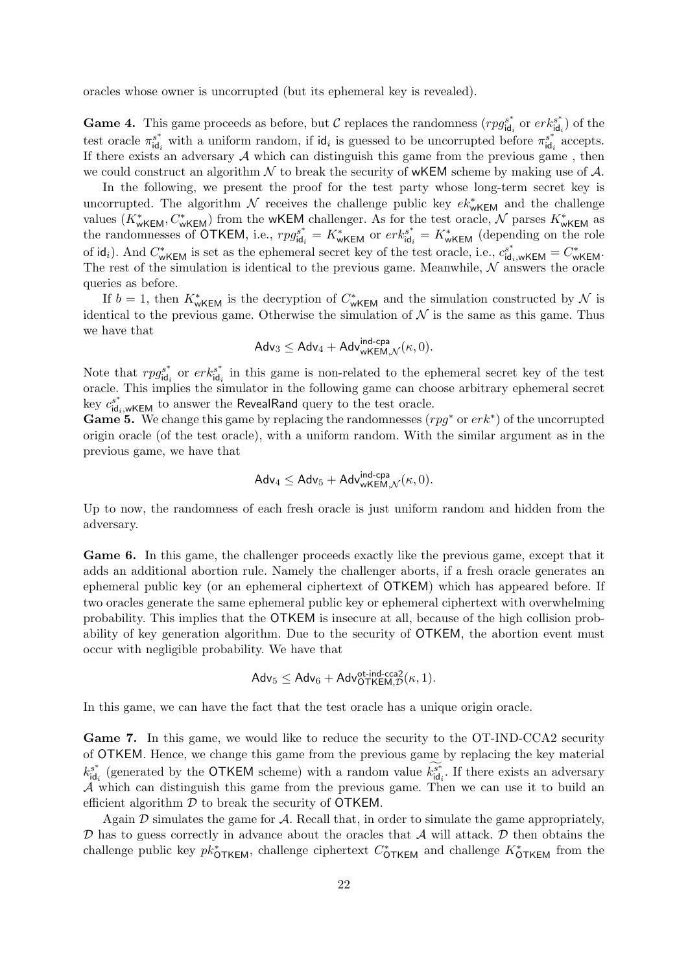oracles whose owner is uncorrupted (but its ephemeral key is revealed).

**Game 4.** This game proceeds as before, but C replaces the randomness  $(rg_{id}^{s^*})$  $\int_{\text{id}_i}^{s^*}$  or  $erk_{\text{id}_i}^{s^*}$  $\binom{s^*}{\mathsf{id}_i}$  of the test oracle  $\pi_{\text{id}}^{s^*}$  $s^*$  with a uniform random, if  $\mathsf{id}_i$  is guessed to be uncorrupted before  $\pi^{s^*}_{\mathsf{id}_i}$  $\int_{\mathsf{id}_i}^{s^*}$  accepts. If there exists an adversary  $A$  which can distinguish this game from the previous game, then we could construct an algorithm  $\mathcal N$  to break the security of wKEM scheme by making use of  $\mathcal A$ .

In the following, we present the proof for the test party whose long-term secret key is uncorrupted. The algorithm  $\mathcal N$  receives the challenge public key  $ek^*_{wKEM}$  and the challenge values  $(K^*_{wKEM}, C^*_{wKEM})$  from the wKEM challenger. As for the test oracle,  $\mathcal N$  parses  $K^*_{wKEM}$  as the randomnesses of OTKEM, i.e.,  $rpg_{\text{id}}^{s^*}$  $s_{\mathsf{id}_i}^* = K_{\mathsf{wKEM}}^*$  or  $\mathit{erk}_{\mathsf{id}_i}^{s^*}$  $s_{\mathsf{id}_i}^* = K_{\mathsf{wKEM}}^*$  (depending on the role of id<sub>i</sub>). And  $C^*_{wKEM}$  is set as the ephemeral secret key of the test oracle, i.e.,  $c_{\text{id}_i,wKEM}^{s^*} = C^*_{wKEM}$ . The rest of the simulation is identical to the previous game. Meanwhile,  $N$  answers the oracle queries as before.

If  $b = 1$ , then  $K^*_{wKEM}$  is the decryption of  $C^*_{wKEM}$  and the simulation constructed by N is identical to the previous game. Otherwise the simulation of  $\mathcal N$  is the same as this game. Thus we have that

$$
\mathsf{Adv}_{3}\leq \mathsf{Adv}_{4}+\mathsf{Adv}_{\mathsf{wKEM},\mathcal{N}}^{\mathsf{ind-cpa}}(\kappa,0).
$$

Note that  $rpg_{\text{id}}^{s^*}$  $\int_{\mathsf{id}_i}^{s^*}$  or  $\mathit{erk}_{\mathsf{id}_i}^{s^*}$  $\int_{\text{id}_i}^{s^*}$  in this game is non-related to the ephemeral secret key of the test oracle. This implies the simulator in the following game can choose arbitrary ephemeral secret key  $c_{\mathsf{id}_i,\mathsf{wKEM}}^{s^*}$  to answer the RevealRand query to the test oracle.

**Game 5.** We change this game by replacing the randomnesses  $(rg^*$  or  $erk^*)$  of the uncorrupted origin oracle (of the test oracle), with a uniform random. With the similar argument as in the previous game, we have that

$$
\mathsf{Adv}_4 \leq \mathsf{Adv}_5 + \mathsf{Adv}_{\mathsf{wKEM},\mathcal{N}}^{\mathsf{ind-cpa}}(\kappa,0).
$$

Up to now, the randomness of each fresh oracle is just uniform random and hidden from the adversary.

Game 6. In this game, the challenger proceeds exactly like the previous game, except that it adds an additional abortion rule. Namely the challenger aborts, if a fresh oracle generates an ephemeral public key (or an ephemeral ciphertext of OTKEM) which has appeared before. If two oracles generate the same ephemeral public key or ephemeral ciphertext with overwhelming probability. This implies that the OTKEM is insecure at all, because of the high collision probability of key generation algorithm. Due to the security of OTKEM, the abortion event must occur with negligible probability. We have that

$$
\mathsf{Adv}_5 \leq \mathsf{Adv}_6 + \mathsf{Adv}_{\mathsf{OTKEM},\mathcal{D}}^{\text{ot-ind-cca2}}(\kappa,1).
$$

In this game, we can have the fact that the test oracle has a unique origin oracle.

Game 7. In this game, we would like to reduce the security to the OT-IND-CCA2 security of OTKEM. Hence, we change this game from the previous game by replacing the key material  $k_{\mathsf{id}}^{s^*}$  $s^*_{\mathsf{id}_i}$  (generated by the OTKEM scheme) with a random value  $k_{\mathsf{id}_i}^{s^*}$  $s_{\mathsf{id}_i}^s$ . If there exists an adversary A which can distinguish this game from the previous game. Then we can use it to build an efficient algorithm  $D$  to break the security of OTKEM.

Again  $\mathcal D$  simulates the game for  $\mathcal A$ . Recall that, in order to simulate the game appropriately,  $\mathcal D$  has to guess correctly in advance about the oracles that  $\mathcal A$  will attack.  $\mathcal D$  then obtains the challenge public key  $pk^*_{\text{OTKEM}}$ , challenge ciphertext  $C^*_{\text{OTKEM}}$  and challenge  $K^*_{\text{OTKEM}}$  from the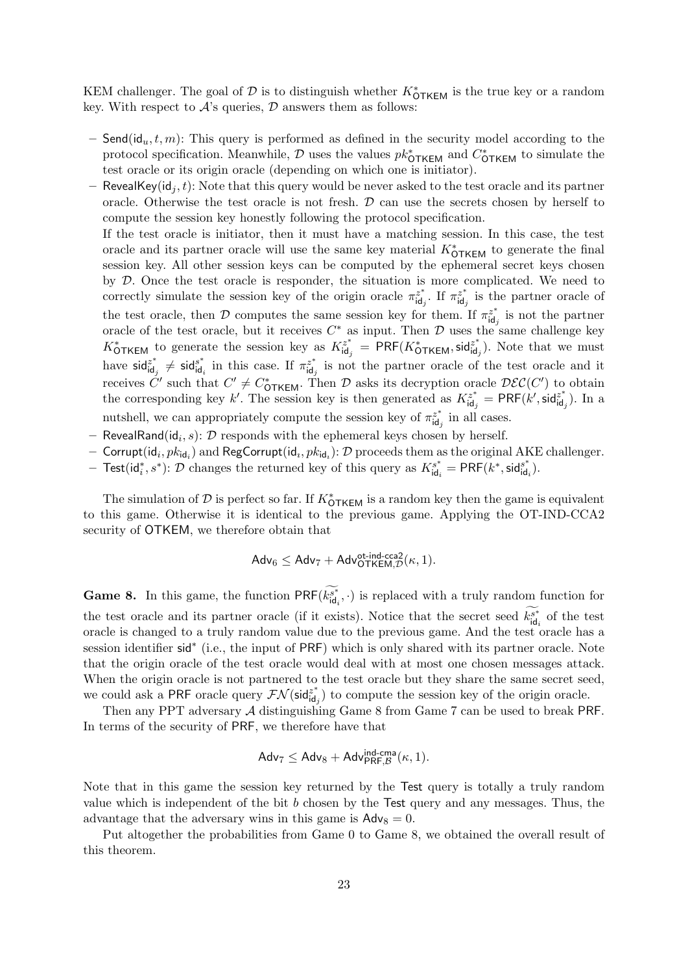KEM challenger. The goal of  $D$  is to distinguish whether  $K^*_{\text{OTKEM}}$  is the true key or a random key. With respect to  $A$ 's queries,  $D$  answers them as follows:

- Send( $id_u, t, m$ ): This query is performed as defined in the security model according to the protocol specification. Meanwhile,  $\mathcal D$  uses the values  $pk^*_{\text{OTKEM}}$  and  $C^*_{\text{OTKEM}}$  to simulate the test oracle or its origin oracle (depending on which one is initiator).
- RevealKey( $id_i, t$ ): Note that this query would be never asked to the test oracle and its partner oracle. Otherwise the test oracle is not fresh.  $D$  can use the secrets chosen by herself to compute the session key honestly following the protocol specification.

If the test oracle is initiator, then it must have a matching session. In this case, the test oracle and its partner oracle will use the same key material  $K^*_{\text{OTKEM}}$  to generate the final session key. All other session keys can be computed by the ephemeral secret keys chosen by D. Once the test oracle is responder, the situation is more complicated. We need to correctly simulate the session key of the origin oracle  $\pi_{\text{id}}^{z^*}$  $\det^{z^*}$ . If  $\pi_{\text{id}_j}^{z^*}$  $\ddot{\mathbf{a}}_j^z$  is the partner oracle of the test oracle, then D computes the same session key for them. If  $\pi_{\text{id}}^{z^*}$  $\int_{\text{id}_j}^{z^*}$  is not the partner oracle of the test oracle, but it receives  $C^*$  as input. Then  $\mathcal D$  uses the same challenge key  $K_{\text{OTKEM}}^*$  to generate the session key as  $K_{\text{id}_i}^{z^*}$  $\mathcal{L}_{\mathsf{id}_j}^{z^*} = \mathsf{PRF}(K_\mathsf{OTKEM}^*, \mathsf{sid}_{\mathsf{id}_j}^{z^*})$  $\begin{bmatrix} z^* \\ \mathsf{id}_j \end{bmatrix}$ . Note that we must have sid $_{\mathsf{id}}^{z^*}$  $\begin{array}{l} z^* \\ \n \mathrm{id}_j \neq \mathsf{sid}^{s^*} \\ \n \end{array}$  $s_{\mathsf{id}_i}^*$  in this case. If  $\pi_{\mathsf{id}_i}^{z^*}$  $\ddot{a}^*_{\mathbf{i}\mathbf{d}_j}$  is not the partner oracle of the test oracle and it receives  $\check{C}'$  such that  $C' \neq C^*_{\text{OTKEM}}$ . Then  $\mathcal D$  asks its decryption oracle  $\mathcal{DEC}(C')$  to obtain the corresponding key k'. The session key is then generated as  $K_{\rm id}^{z^*}$ .  $\tilde{\mathsf{f}}^{\varepsilon^*}_{\mathsf{id}_j} = \mathsf{PRF}(k', \mathsf{sid}^{z^*}_{\mathsf{id}_j})$  $\begin{bmatrix} z^* \\ \mathsf{id}_j \end{bmatrix}$ . In a nutshell, we can appropriately compute the session key of  $\pi_{\text{id}}^{z^*}$  $\ddot{a}^*_{\mathsf{id}_j}$  in all cases.

- RevealRand(id $_i$ , s):  $D$  responds with the ephemeral keys chosen by herself.
- $-$  Corrupt $(\mathsf{id}_i, \mathit{pk}_{\mathsf{id}_i})$  and  $\mathsf{RegCorrupt}(\mathsf{id}_i, \mathit{pk}_{\mathsf{id}_i})\colon\mathcal{D}$  proceeds them as the original  $\mathrm{AKE}$  challenger.
- − Test( $id_i^*, s^*$ ):  $\mathcal D$  changes the returned key of this query as  $K^{s^*}_{id}$  $\overline{\mathsf{A}}^s_{\mathsf{id}_i} = \mathsf{PRF}(k^*, \mathsf{sid}^s_{\mathsf{id}_i})$  $_{id_i}^{s^+}$ .

The simulation of  $D$  is perfect so far. If  $K^*_{\text{OTKEM}}$  is a random key then the game is equivalent to this game. Otherwise it is identical to the previous game. Applying the OT-IND-CCA2 security of OTKEM, we therefore obtain that

$$
\mathsf{Adv}_{6} \leq \mathsf{Adv}_{7} + \mathsf{Adv}_{\mathsf{OTKEM},\mathcal{D}}^{\text{ot-ind-cca2}}(\kappa,1).
$$

**Game 8.** In this game, the function  $PRF(k_{\text{id}_i}^{s*})$  $\mathbf{a}_{\mathbf{i}\mathbf{d}_i}^{s^*}$ ,  $\cdot$ ) is replaced with a truly random function for the test oracle and its partner oracle (if it exists). Notice that the secret seed  $k_{\mathsf{id}}^{s^*}$  $\int_{\text{id}_i}^{s^*}$  of the test oracle is changed to a truly random value due to the previous game. And the test oracle has a session identifier sid<sup>\*</sup> (i.e., the input of PRF) which is only shared with its partner oracle. Note that the origin oracle of the test oracle would deal with at most one chosen messages attack. When the origin oracle is not partnered to the test oracle but they share the same secret seed, we could ask a PRF oracle query  $\mathcal{FN}(\text{sid}^{z^*}_{\text{id}})$  $\tilde{\mathbf{a}}_{\mathbf{i}\mathbf{d}_j}^{z^*}$  to compute the session key of the origin oracle.

Then any PPT adversary A distinguishing Game 8 from Game 7 can be used to break PRF. In terms of the security of PRF, we therefore have that

$$
\mathsf{Adv}_7 \leq \mathsf{Adv}_8 + \mathsf{Adv}_{\mathsf{PRF}, \mathcal{B}}^{\mathsf{ind-cma}}(\kappa, 1).
$$

Note that in this game the session key returned by the Test query is totally a truly random value which is independent of the bit b chosen by the Test query and any messages. Thus, the advantage that the adversary wins in this game is  $\text{Adv}_8 = 0$ .

Put altogether the probabilities from Game 0 to Game 8, we obtained the overall result of this theorem.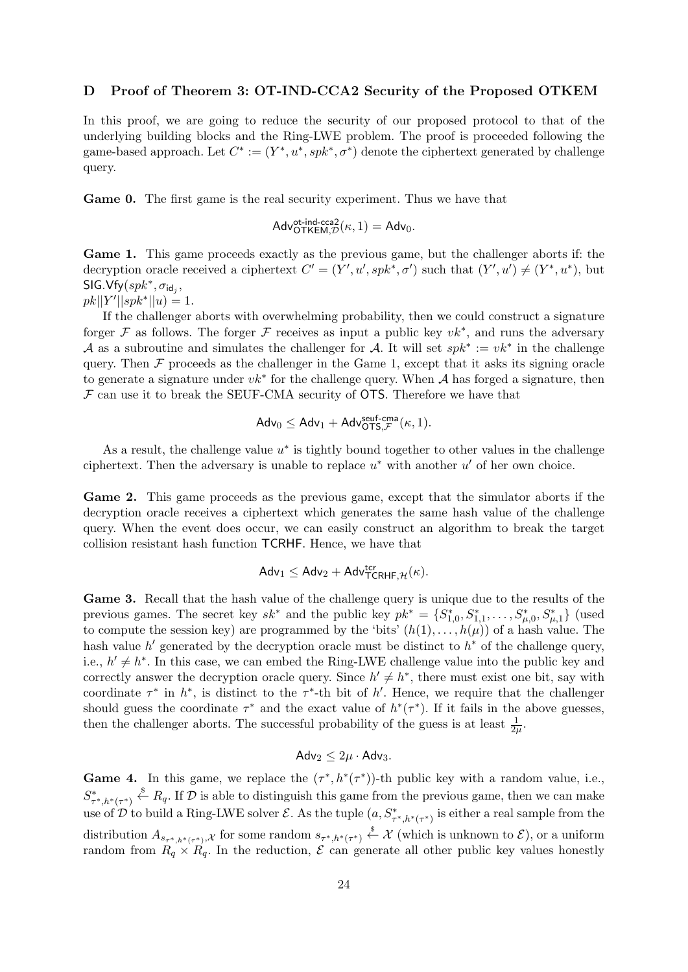#### D Proof of Theorem 3: OT-IND-CCA2 Security of the Proposed OTKEM

In this proof, we are going to reduce the security of our proposed protocol to that of the underlying building blocks and the Ring-LWE problem. The proof is proceeded following the game-based approach. Let  $C^* := (Y^*, u^*, spk^*, \sigma^*)$  denote the ciphertext generated by challenge query.

Game 0. The first game is the real security experiment. Thus we have that

$$
\mathsf{Adv}_{\mathsf{OTKEM},\mathcal{D}}^{\text{ot-ind-cca2}}(\kappa,1) = \mathsf{Adv}_{0}.
$$

Game 1. This game proceeds exactly as the previous game, but the challenger aborts if: the decryption oracle received a ciphertext  $C' = (Y', u', s p k^*, \sigma')$  such that  $(Y', u') \neq (Y^*, u^*)$ , but  $\mathsf{SIG.Vfy}(spk^*, \sigma_{\mathsf{id}_j},$  $pk||Y'||spk^*||u) = 1.$ 

If the challenger aborts with overwhelming probability, then we could construct a signature forger F as follows. The forger F receives as input a public key  $vk^*$ , and runs the adversary A as a subroutine and simulates the challenger for A. It will set  $spk^* := vk^*$  in the challenge query. Then  $\mathcal F$  proceeds as the challenger in the Game 1, except that it asks its signing oracle to generate a signature under  $vk^*$  for the challenge query. When  $\mathcal A$  has forged a signature, then  $\mathcal F$  can use it to break the SEUF-CMA security of OTS. Therefore we have that

$$
\mathsf{Adv}_{0} \leq \mathsf{Adv}_{1} + \mathsf{Adv}_{\mathsf{OTS},\mathcal{F}}^{\mathsf{seuf-cma}}(\kappa,1).
$$

As a result, the challenge value  $u^*$  is tightly bound together to other values in the challenge ciphertext. Then the adversary is unable to replace  $u^*$  with another  $u'$  of her own choice.

Game 2. This game proceeds as the previous game, except that the simulator aborts if the decryption oracle receives a ciphertext which generates the same hash value of the challenge query. When the event does occur, we can easily construct an algorithm to break the target collision resistant hash function TCRHF. Hence, we have that

$$
\mathsf{Adv}_1 \leq \mathsf{Adv}_2 + \mathsf{Adv}_{\mathsf{TCRHF}, \mathcal{H}}^{\mathsf{ter}}(\kappa).
$$

Game 3. Recall that the hash value of the challenge query is unique due to the results of the previous games. The secret key  $sk^*$  and the public key  $pk^* = \{S^*_{1,0}, S^*_{1,1}, \ldots, S^*_{\mu,0}, S^*_{\mu,1}\}\$  (used to compute the session key) are programmed by the 'bits'  $(h(1), \ldots, h(\mu))$  of a hash value. The hash value  $h'$  generated by the decryption oracle must be distinct to  $h^*$  of the challenge query, i.e.,  $h' \neq h^*$ . In this case, we can embed the Ring-LWE challenge value into the public key and correctly answer the decryption oracle query. Since  $h' \neq h^*$ , there must exist one bit, say with coordinate  $\tau^*$  in  $h^*$ , is distinct to the  $\tau^*$ -th bit of h'. Hence, we require that the challenger should guess the coordinate  $\tau^*$  and the exact value of  $h^*(\tau^*)$ . If it fails in the above guesses, then the challenger aborts. The successful probability of the guess is at least  $\frac{1}{2\mu}$ .

$$
Adv_2 \leq 2\mu \cdot Adv_3.
$$

**Game 4.** In this game, we replace the  $(\tau^*, h^*(\tau^*))$ -th public key with a random value, i.e.,  $S^*_{\tau^*,h^*(\tau^*)} \overset{\$}{\leftarrow} R_q$ . If  $\mathcal D$  is able to distinguish this game from the previous game, then we can make use of  $\mathcal D$  to build a Ring-LWE solver  $\mathcal E$ . As the tuple  $(a, S^*_{\tau^*, h^*(\tau^*)}$  is either a real sample from the distribution  $A_{s_{\tau^*,h^*(\tau^*)},\mathcal{X}}$  for some random  $s_{\tau^*,h^*(\tau^*)} \overset{\$}{\leftarrow} \mathcal{X}$  (which is unknown to  $\mathcal{E}$ ), or a uniform random from  $R_q \times R_q$ . In the reduction,  $\mathcal E$  can generate all other public key values honestly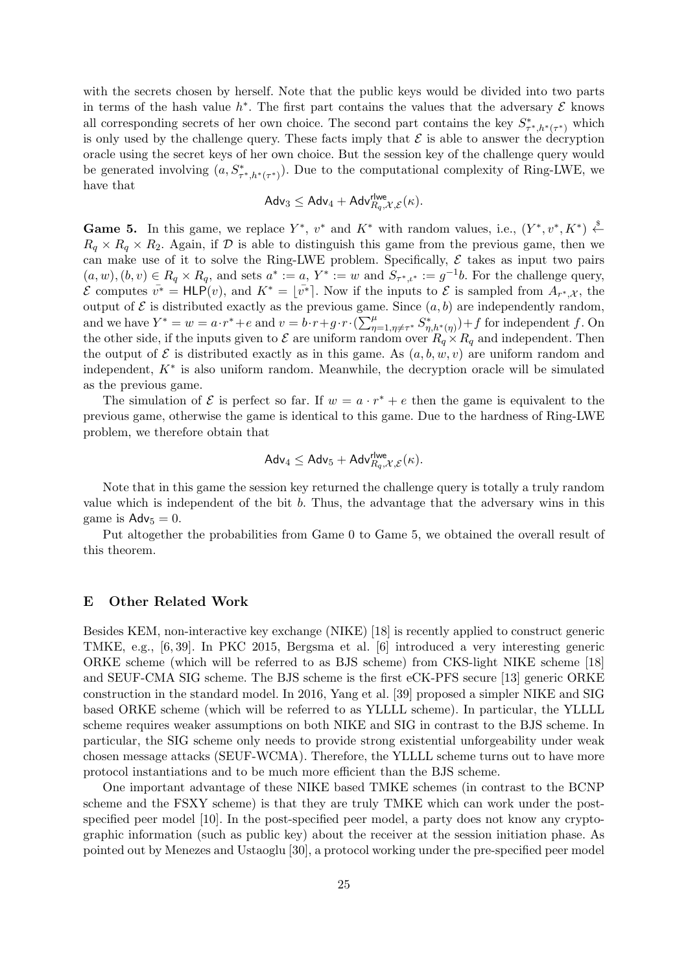with the secrets chosen by herself. Note that the public keys would be divided into two parts in terms of the hash value  $h^*$ . The first part contains the values that the adversary  $\mathcal E$  knows all corresponding secrets of her own choice. The second part contains the key  $S^*_{\tau^*,h^*(\tau^*)}$  which is only used by the challenge query. These facts imply that  $\mathcal E$  is able to answer the decryption oracle using the secret keys of her own choice. But the session key of the challenge query would be generated involving  $(a, S^*_{\tau^*, h^*(\tau^*)})$ . Due to the computational complexity of Ring-LWE, we have that

$$
\mathsf{Adv}_3 \leq \mathsf{Adv}_4 + \mathsf{Adv}_{R_q,\mathcal{X},\mathcal{E}}^{\mathsf{rlwe}}(\kappa).
$$

**Game 5.** In this game, we replace  $Y^*$ ,  $v^*$  and  $K^*$  with random values, i.e.,  $(Y^*, v^*, K^*) \stackrel{\$}{\leftarrow}$  $R_q \times R_q \times R_2$ . Again, if D is able to distinguish this game from the previous game, then we can make use of it to solve the Ring-LWE problem. Specifically,  $\mathcal E$  takes as input two pairs  $(a, w), (b, v) \in R_q \times R_q$ , and sets  $a^* := a$ ,  $Y^* := w$  and  $S_{\tau^*, \iota^*} := g^{-1}b$ . For the challenge query,  $\mathcal E$  computes  $\bar{v^*}$  = HLP(*v*), and  $K^* = [\bar{v^*}]$ . Now if the inputs to  $\mathcal E$  is sampled from  $A_{r^*,\mathcal X}$ , the output of  $\mathcal E$  is distributed exactly as the previous game. Since  $(a, b)$  are independently random, and we have  $Y^* = w = a \cdot r^* + e$  and  $v = b \cdot r + g \cdot r \cdot (\sum_{\eta=1,\eta\neq\tau^*}^{\mu} S_{\eta,h^*(\eta)}^*) + f$  for independent f. On the other side, if the inputs given to  $\mathcal E$  are uniform random over  $R_q \times R_q$  and independent. Then the output of  $\mathcal E$  is distributed exactly as in this game. As  $(a, b, w, v)$  are uniform random and independent,  $K^*$  is also uniform random. Meanwhile, the decryption oracle will be simulated as the previous game.

The simulation of  $\mathcal E$  is perfect so far. If  $w = a \cdot r^* + e$  then the game is equivalent to the previous game, otherwise the game is identical to this game. Due to the hardness of Ring-LWE problem, we therefore obtain that

$$
\mathsf{Adv}_4 \leq \mathsf{Adv}_5 + \mathsf{Adv}_{R_q,\mathcal{X},\mathcal{E}}^{\mathsf{rlwe}}(\kappa).
$$

Note that in this game the session key returned the challenge query is totally a truly random value which is independent of the bit b. Thus, the advantage that the adversary wins in this game is  $\mathsf{Adv}_5 = 0$ .

Put altogether the probabilities from Game 0 to Game 5, we obtained the overall result of this theorem.

## E Other Related Work

Besides KEM, non-interactive key exchange (NIKE) [18] is recently applied to construct generic TMKE, e.g., [6, 39]. In PKC 2015, Bergsma et al. [6] introduced a very interesting generic ORKE scheme (which will be referred to as BJS scheme) from CKS-light NIKE scheme [18] and SEUF-CMA SIG scheme. The BJS scheme is the first eCK-PFS secure [13] generic ORKE construction in the standard model. In 2016, Yang et al. [39] proposed a simpler NIKE and SIG based ORKE scheme (which will be referred to as YLLLL scheme). In particular, the YLLLL scheme requires weaker assumptions on both NIKE and SIG in contrast to the BJS scheme. In particular, the SIG scheme only needs to provide strong existential unforgeability under weak chosen message attacks (SEUF-WCMA). Therefore, the YLLLL scheme turns out to have more protocol instantiations and to be much more efficient than the BJS scheme.

One important advantage of these NIKE based TMKE schemes (in contrast to the BCNP scheme and the FSXY scheme) is that they are truly TMKE which can work under the postspecified peer model [10]. In the post-specified peer model, a party does not know any cryptographic information (such as public key) about the receiver at the session initiation phase. As pointed out by Menezes and Ustaoglu [30], a protocol working under the pre-specified peer model